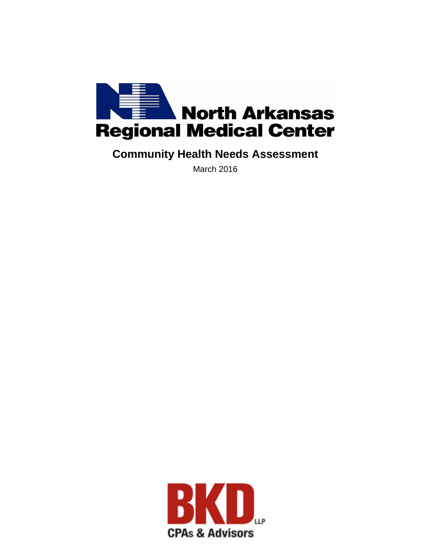

# **Community Health Needs Assessment**

March 2016

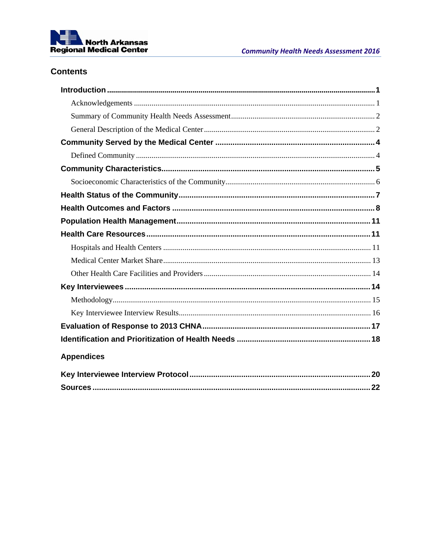

# **Contents**

| <b>Appendices</b> |  |
|-------------------|--|
|                   |  |
|                   |  |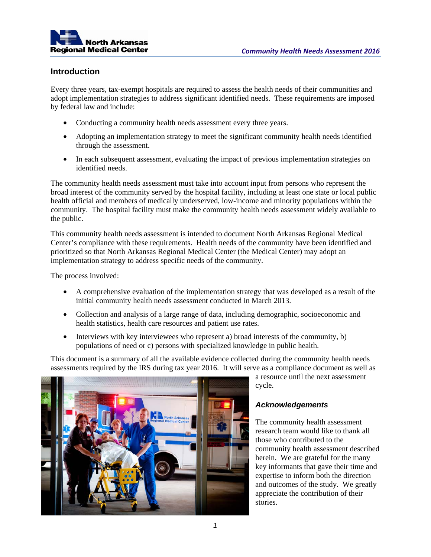

#### **Introduction**

Every three years, tax-exempt hospitals are required to assess the health needs of their communities and adopt implementation strategies to address significant identified needs. These requirements are imposed by federal law and include:

- Conducting a community health needs assessment every three years.
- Adopting an implementation strategy to meet the significant community health needs identified through the assessment.
- In each subsequent assessment, evaluating the impact of previous implementation strategies on identified needs.

The community health needs assessment must take into account input from persons who represent the broad interest of the community served by the hospital facility, including at least one state or local public health official and members of medically underserved, low-income and minority populations within the community. The hospital facility must make the community health needs assessment widely available to the public.

This community health needs assessment is intended to document North Arkansas Regional Medical Center's compliance with these requirements. Health needs of the community have been identified and prioritized so that North Arkansas Regional Medical Center (the Medical Center) may adopt an implementation strategy to address specific needs of the community.

The process involved:

- A comprehensive evaluation of the implementation strategy that was developed as a result of the initial community health needs assessment conducted in March 2013.
- Collection and analysis of a large range of data, including demographic, socioeconomic and health statistics, health care resources and patient use rates.
- Interviews with key interviewees who represent a) broad interests of the community, b) populations of need or c) persons with specialized knowledge in public health.

This document is a summary of all the available evidence collected during the community health needs assessments required by the IRS during tax year 2016. It will serve as a compliance document as well as



a resource until the next assessment cycle.

#### *Acknowledgements*

The community health assessment research team would like to thank all those who contributed to the community health assessment described herein. We are grateful for the many key informants that gave their time and expertise to inform both the direction and outcomes of the study. We greatly appreciate the contribution of their stories.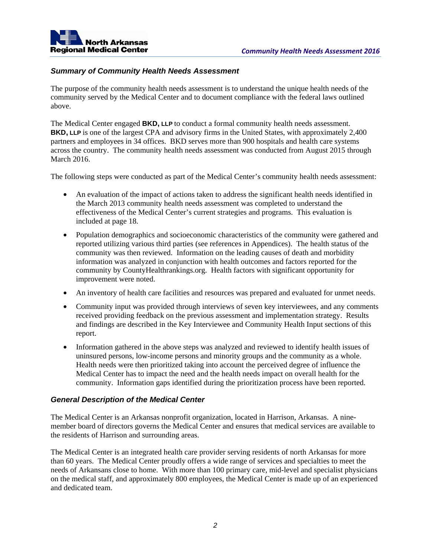

#### *Summary of Community Health Needs Assessment*

The purpose of the community health needs assessment is to understand the unique health needs of the community served by the Medical Center and to document compliance with the federal laws outlined above.

The Medical Center engaged **BKD, LLP** to conduct a formal community health needs assessment. **BKD, LLP** is one of the largest CPA and advisory firms in the United States, with approximately 2,400 partners and employees in 34 offices. BKD serves more than 900 hospitals and health care systems across the country. The community health needs assessment was conducted from August 2015 through March 2016.

The following steps were conducted as part of the Medical Center's community health needs assessment:

- An evaluation of the impact of actions taken to address the significant health needs identified in the March 2013 community health needs assessment was completed to understand the effectiveness of the Medical Center's current strategies and programs. This evaluation is included at page 18.
- Population demographics and socioeconomic characteristics of the community were gathered and reported utilizing various third parties (see references in Appendices). The health status of the community was then reviewed. Information on the leading causes of death and morbidity information was analyzed in conjunction with health outcomes and factors reported for the community by CountyHealthrankings.org. Health factors with significant opportunity for improvement were noted.
- An inventory of health care facilities and resources was prepared and evaluated for unmet needs.
- Community input was provided through interviews of seven key interviewees, and any comments received providing feedback on the previous assessment and implementation strategy. Results and findings are described in the Key Interviewee and Community Health Input sections of this report.
- Information gathered in the above steps was analyzed and reviewed to identify health issues of uninsured persons, low-income persons and minority groups and the community as a whole. Health needs were then prioritized taking into account the perceived degree of influence the Medical Center has to impact the need and the health needs impact on overall health for the community. Information gaps identified during the prioritization process have been reported.

#### *General Description of the Medical Center*

The Medical Center is an Arkansas nonprofit organization, located in Harrison, Arkansas. A ninemember board of directors governs the Medical Center and ensures that medical services are available to the residents of Harrison and surrounding areas.

The Medical Center is an integrated health care provider serving residents of north Arkansas for more than 60 years. The Medical Center proudly offers a wide range of services and specialties to meet the needs of Arkansans close to home. With more than 100 primary care, mid-level and specialist physicians on the medical staff, and approximately 800 employees, the Medical Center is made up of an experienced and dedicated team.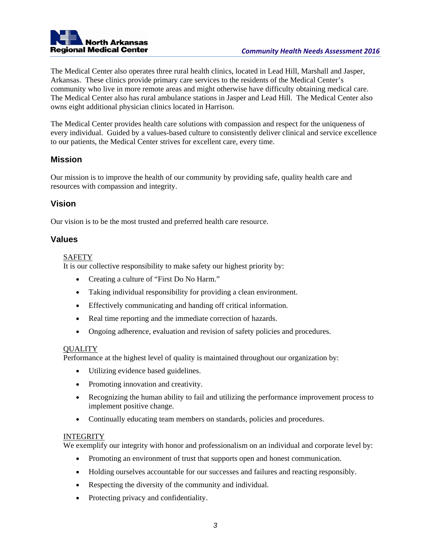

The Medical Center also operates three rural health clinics, located in Lead Hill, Marshall and Jasper, Arkansas. These clinics provide primary care services to the residents of the Medical Center's community who live in more remote areas and might otherwise have difficulty obtaining medical care. The Medical Center also has rural ambulance stations in Jasper and Lead Hill. The Medical Center also owns eight additional physician clinics located in Harrison.

The Medical Center provides health care solutions with compassion and respect for the uniqueness of every individual. Guided by a values-based culture to consistently deliver clinical and service excellence to our patients, the Medical Center strives for excellent care, every time.

#### **Mission**

Our mission is to improve the health of our community by providing safe, quality health care and resources with compassion and integrity.

#### **Vision**

Our vision is to be the most trusted and preferred health care resource.

#### **Values**

#### SAFETY

It is our collective responsibility to make safety our highest priority by:

- Creating a culture of "First Do No Harm."
- Taking individual responsibility for providing a clean environment.
- Effectively communicating and handing off critical information.
- Real time reporting and the immediate correction of hazards.
- Ongoing adherence, evaluation and revision of safety policies and procedures.

#### **OUALITY**

Performance at the highest level of quality is maintained throughout our organization by:

- Utilizing evidence based guidelines.
- Promoting innovation and creativity.
- Recognizing the human ability to fail and utilizing the performance improvement process to implement positive change.
- Continually educating team members on standards, policies and procedures.

#### **INTEGRITY**

We exemplify our integrity with honor and professionalism on an individual and corporate level by:

- Promoting an environment of trust that supports open and honest communication.
- Holding ourselves accountable for our successes and failures and reacting responsibly.
- Respecting the diversity of the community and individual.
- Protecting privacy and confidentiality.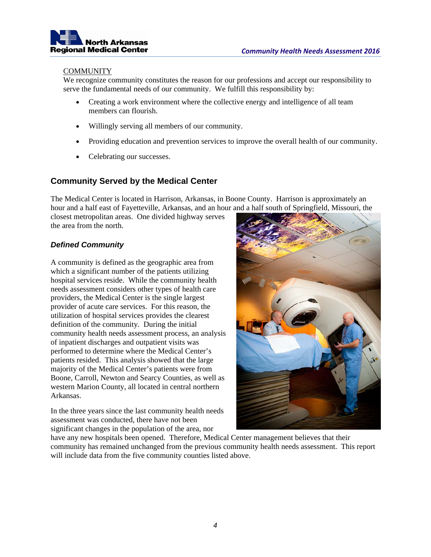

#### **COMMUNITY**

We recognize community constitutes the reason for our professions and accept our responsibility to serve the fundamental needs of our community. We fulfill this responsibility by:

- Creating a work environment where the collective energy and intelligence of all team members can flourish.
- Willingly serving all members of our community.
- Providing education and prevention services to improve the overall health of our community.
- Celebrating our successes.

#### **Community Served by the Medical Center**

The Medical Center is located in Harrison, Arkansas, in Boone County. Harrison is approximately an hour and a half east of Fayetteville, Arkansas, and an hour and a half south of Springfield, Missouri, the

closest metropolitan areas. One divided highway serves the area from the north.

#### *Defined Community*

A community is defined as the geographic area from which a significant number of the patients utilizing hospital services reside. While the community health needs assessment considers other types of health care providers, the Medical Center is the single largest provider of acute care services. For this reason, the utilization of hospital services provides the clearest definition of the community. During the initial community health needs assessment process, an analysis of inpatient discharges and outpatient visits was performed to determine where the Medical Center's patients resided. This analysis showed that the large majority of the Medical Center's patients were from Boone, Carroll, Newton and Searcy Counties, as well as western Marion County, all located in central northern Arkansas.

In the three years since the last community health needs assessment was conducted, there have not been significant changes in the population of the area, nor



have any new hospitals been opened. Therefore, Medical Center management believes that their community has remained unchanged from the previous community health needs assessment. This report will include data from the five community counties listed above.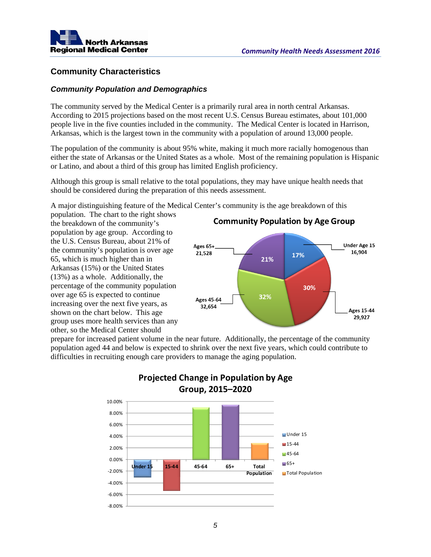

#### **Community Characteristics**

#### *Community Population and Demographics*

The community served by the Medical Center is a primarily rural area in north central Arkansas. According to 2015 projections based on the most recent U.S. Census Bureau estimates, about 101,000 people live in the five counties included in the community. The Medical Center is located in Harrison, Arkansas, which is the largest town in the community with a population of around 13,000 people.

The population of the community is about 95% white, making it much more racially homogenous than either the state of Arkansas or the United States as a whole. Most of the remaining population is Hispanic or Latino, and about a third of this group has limited English proficiency.

Although this group is small relative to the total populations, they may have unique health needs that should be considered during the preparation of this needs assessment.

A major distinguishing feature of the Medical Center's community is the age breakdown of this

population. The chart to the right shows the breakdown of the community's population by age group. According to the U.S. Census Bureau, about 21% of the community's population is over age 65, which is much higher than in Arkansas (15%) or the United States (13%) as a whole. Additionally, the percentage of the community population over age 65 is expected to continue increasing over the next five years, as shown on the chart below. This age group uses more health services than any other, so the Medical Center should



prepare for increased patient volume in the near future. Additionally, the percentage of the community population aged 44 and below is expected to shrink over the next five years, which could contribute to difficulties in recruiting enough care providers to manage the aging population.



## **Projected Change in Population by Age Group, 2015–2020**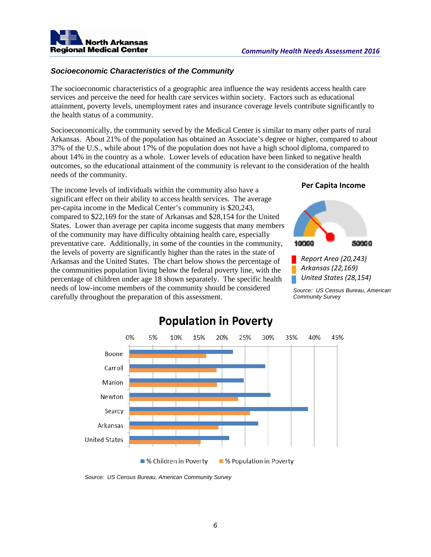

#### *Socioeconomic Characteristics of the Community*

The socioeconomic characteristics of a geographic area influence the way residents access health care services and perceive the need for health care services within society. Factors such as educational attainment, poverty levels, unemployment rates and insurance coverage levels contribute significantly to the health status of a community.

Socioeconomically, the community served by the Medical Center is similar to many other parts of rural Arkansas. About 21% of the population has obtained an Associate's degree or higher, compared to about 37% of the U.S., while about 17% of the population does not have a high school diploma, compared to about 14% in the country as a whole. Lower levels of education have been linked to negative health outcomes, so the educational attainment of the community is relevant to the consideration of the health needs of the community.

The income levels of individuals within the community also have a significant effect on their ability to access health services. The average per-capita income in the Medical Center's community is \$20,243, compared to \$22,169 for the state of Arkansas and \$28,154 for the United States. Lower than average per capita income suggests that many members of the community may have difficulty obtaining health care, especially preventative care. Additionally, in some of the counties in the community, the levels of poverty are significantly higher than the rates in the state of Arkansas and the United States. The chart below shows the percentage of the communities population living below the federal poverty line, with the percentage of children under age 18 shown separately. The specific health needs of low-income members of the community should be considered carefully throughout the preparation of this assessment.

#### **Per Capita Income**



*Source: US Census Bureau, American Community Survey* 



# **Population in Poverty**

*Source: US Census Bureau, American Community Survey*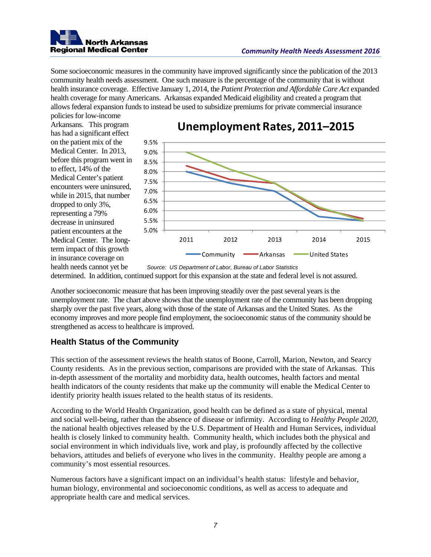

Some socioeconomic measures in the community have improved significantly since the publication of the 2013 community health needs assessment. One such measure is the percentage of the community that is without health insurance coverage. Effective January 1, 2014, the *Patient Protection and Affordable Care Act* expanded health coverage for many Americans. Arkansas expanded Medicaid eligibility and created a program that allows federal expansion funds to instead be used to subsidize premiums for private commercial insurance

policies for low-income Arkansans. This program has had a significant effect on the patient mix of the Medical Center. In 2013, before this program went in to effect, 14% of the Medical Center's patient encounters were uninsured, while in 2015, that number dropped to only 3%, representing a 79% decrease in uninsured patient encounters at the Medical Center. The longterm impact of this growth in insurance coverage on health needs cannot yet be



# **Unemployment Rates, 2011–2015**

*Source: US Department of Labor, Bureau of Labor Statistics*  determined. In addition, continued support for this expansion at the state and federal level is not assured.

Another socioeconomic measure that has been improving steadily over the past several years is the unemployment rate. The chart above shows that the unemployment rate of the community has been dropping sharply over the past five years, along with those of the state of Arkansas and the United States. As the economy improves and more people find employment, the socioeconomic status of the community should be strengthened as access to healthcare is improved.

### **Health Status of the Community**

This section of the assessment reviews the health status of Boone, Carroll, Marion, Newton, and Searcy County residents. As in the previous section, comparisons are provided with the state of Arkansas. This in-depth assessment of the mortality and morbidity data, health outcomes, health factors and mental health indicators of the county residents that make up the community will enable the Medical Center to identify priority health issues related to the health status of its residents.

According to the World Health Organization, good health can be defined as a state of physical, mental and social well-being, rather than the absence of disease or infirmity. According to *Healthy People 2020*, the national health objectives released by the U.S. Department of Health and Human Services, individual health is closely linked to community health. Community health, which includes both the physical and social environment in which individuals live, work and play, is profoundly affected by the collective behaviors, attitudes and beliefs of everyone who lives in the community. Healthy people are among a community's most essential resources.

Numerous factors have a significant impact on an individual's health status: lifestyle and behavior, human biology, environmental and socioeconomic conditions, as well as access to adequate and appropriate health care and medical services.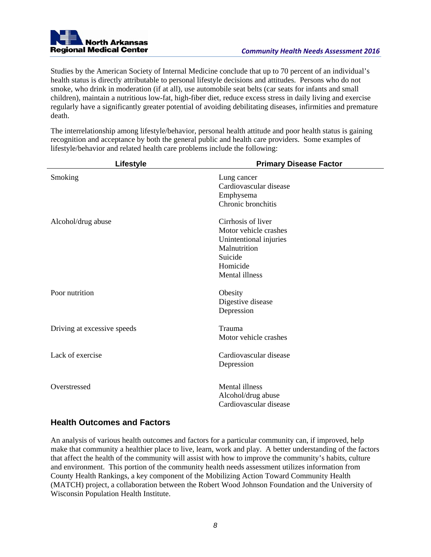

Studies by the American Society of Internal Medicine conclude that up to 70 percent of an individual's health status is directly attributable to personal lifestyle decisions and attitudes. Persons who do not smoke, who drink in moderation (if at all), use automobile seat belts (car seats for infants and small children), maintain a nutritious low-fat, high-fiber diet, reduce excess stress in daily living and exercise regularly have a significantly greater potential of avoiding debilitating diseases, infirmities and premature death.

The interrelationship among lifestyle/behavior, personal health attitude and poor health status is gaining recognition and acceptance by both the general public and health care providers. Some examples of lifestyle/behavior and related health care problems include the following:

| Lifestyle                   | <b>Primary Disease Factor</b>                                                                                                  |
|-----------------------------|--------------------------------------------------------------------------------------------------------------------------------|
| Smoking                     | Lung cancer<br>Cardiovascular disease<br>Emphysema<br>Chronic bronchitis                                                       |
| Alcohol/drug abuse          | Cirrhosis of liver<br>Motor vehicle crashes<br>Unintentional injuries<br>Malnutrition<br>Suicide<br>Homicide<br>Mental illness |
| Poor nutrition              | Obesity<br>Digestive disease<br>Depression                                                                                     |
| Driving at excessive speeds | Trauma<br>Motor vehicle crashes                                                                                                |
| Lack of exercise            | Cardiovascular disease<br>Depression                                                                                           |
| Overstressed                | Mental illness<br>Alcohol/drug abuse<br>Cardiovascular disease                                                                 |

#### **Health Outcomes and Factors**

An analysis of various health outcomes and factors for a particular community can, if improved, help make that community a healthier place to live, learn, work and play. A better understanding of the factors that affect the health of the community will assist with how to improve the community's habits, culture and environment. This portion of the community health needs assessment utilizes information from County Health Rankings, a key component of the Mobilizing Action Toward Community Health (MATCH) project, a collaboration between the Robert Wood Johnson Foundation and the University of Wisconsin Population Health Institute.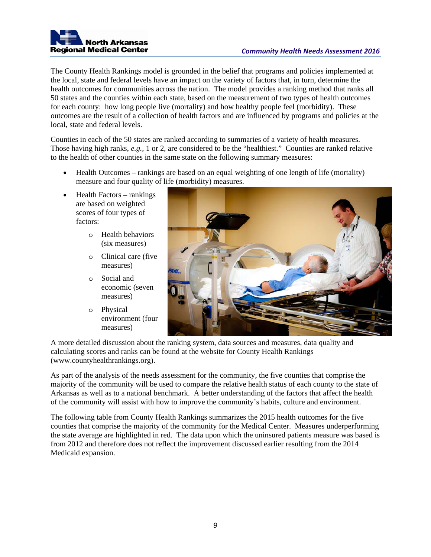

The County Health Rankings model is grounded in the belief that programs and policies implemented at the local, state and federal levels have an impact on the variety of factors that, in turn, determine the health outcomes for communities across the nation. The model provides a ranking method that ranks all 50 states and the counties within each state, based on the measurement of two types of health outcomes for each county: how long people live (mortality) and how healthy people feel (morbidity). These outcomes are the result of a collection of health factors and are influenced by programs and policies at the local, state and federal levels.

Counties in each of the 50 states are ranked according to summaries of a variety of health measures. Those having high ranks, *e.g.,* 1 or 2, are considered to be the "healthiest." Counties are ranked relative to the health of other counties in the same state on the following summary measures:

- Health Outcomes rankings are based on an equal weighting of one length of life (mortality) measure and four quality of life (morbidity) measures.
- Health Factors rankings are based on weighted scores of four types of factors:
	- o Health behaviors (six measures)
	- o Clinical care (five measures)
	- o Social and economic (seven measures)
	- o Physical environment (four measures)



A more detailed discussion about the ranking system, data sources and measures, data quality and calculating scores and ranks can be found at the website for County Health Rankings (www.countyhealthrankings.org).

As part of the analysis of the needs assessment for the community, the five counties that comprise the majority of the community will be used to compare the relative health status of each county to the state of Arkansas as well as to a national benchmark. A better understanding of the factors that affect the health of the community will assist with how to improve the community's habits, culture and environment.

The following table from County Health Rankings summarizes the 2015 health outcomes for the five counties that comprise the majority of the community for the Medical Center. Measures underperforming the state average are highlighted in red. The data upon which the uninsured patients measure was based is from 2012 and therefore does not reflect the improvement discussed earlier resulting from the 2014 Medicaid expansion.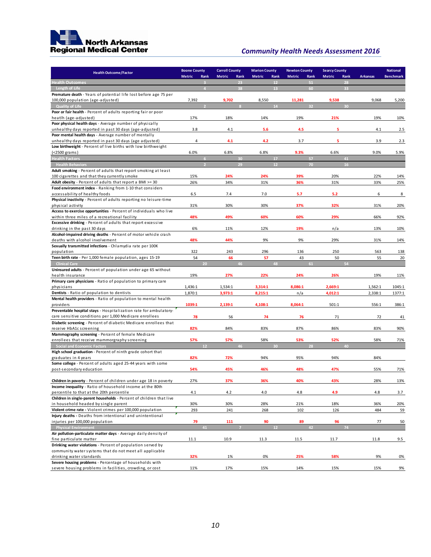

| <b>Metric</b><br>Rank<br><b>Metric</b><br>Rank<br><b>Metric</b><br>Rank<br><b>Metric</b><br>Rank<br><b>Metric</b><br><b>Arkansas</b><br><b>Benchmark</b><br>Rank<br><b>Health Outcomes</b><br>23<br>12<br>51<br>28<br>$\mathbf{B}$<br>Length of Life<br>38<br>13<br>60<br>33<br>$\overline{A}$<br>Premature death - Years of potential life lost before age 75 per<br>100,000 population (age-adjusted)<br>7,392<br>9,702<br>8,550<br>11,281<br>9,538<br>9,068<br>5,200<br>14<br>32<br>30<br><b>Quality of Life</b><br>Poor or fair health - Percent of adults reporting fair or poor<br>17%<br>18%<br>14%<br>19%<br>21%<br>19%<br>10%<br>heatlh (age-adjusted)<br>Poor physical health days - Average number of physically<br>unhealthy days reported in past 30 days (age-adjusted)<br>3.8<br>5.6<br>4.5<br>5<br>2.5<br>4.1<br>4.1<br>Poor mental health days - Average number of mentally<br>5<br>unhealthy days reported in past 30 days (age adjusted)<br>$\overline{4}$<br>4.1<br>4.2<br>3.7<br>3.9<br>2.3<br>Low birthweight - Percent of live births with low birthweight<br>9.3%<br>6.0%<br>6.8%<br>6.8%<br>6.6%<br>9.0%<br>5.9%<br>$(<$ 2500 grams)<br><b>Health Factors</b><br>30<br>17<br>57<br>41<br>12<br>29<br>70<br>16<br><b>Health Behaviors</b><br>Adult smoking - Percent of adults that report smoking at least<br>100 cigarettes and that they currently smoke<br>15%<br>24%<br>24%<br>39%<br>20%<br>22%<br>14%<br>Adult obesity - Percent of adults that report a BMI >= 30<br>26%<br>34%<br>31%<br>36%<br>31%<br>33%<br>25%<br>Food environment index - Ranking from 1-10 that considers<br>accessability of healthy foods<br>6.5<br>7.4<br>7.0<br>5.7<br>5.2<br>6<br>8<br>Physical inactivity - Percent of adults reporting no leisure-time<br>31%<br>30%<br>30%<br>37%<br>32%<br>31%<br>20%<br>physical activity<br>Access to exercise opportunities - Percent of individuals who live<br>within three miles of a recreational facility<br>48%<br>49%<br>60%<br>60%<br>29%<br>66%<br>92%<br><b>Excessive drinking</b> - Percent of adults that report excessive<br>6%<br>11%<br>12%<br>19%<br>n/a<br>13%<br>drinking in the past 30 days<br>10%<br>Alcohol-impaired driving deaths - Percent of motor vehicle crash<br>deaths with alcohol involvement<br>48%<br>44%<br>9%<br>9%<br>29%<br>31%<br>14%<br>Sexually transmitted infections - Chlamydia rate per 100K<br>322<br>243<br>296<br>136<br>250<br>563<br>138<br>population<br>Teen birth rate - Per 1,000 female population, ages 15-19<br>54<br>66<br>57<br>43<br>50<br>55<br>20<br>54<br>20<br>46<br>48<br>61<br><b>Clinical Care</b><br>Uninsured adults - Percent of population under age 65 without<br>19%<br>27%<br>22%<br>24%<br>26%<br>health insurance<br>19%<br>11%<br>Primary care physicians - Ratio of population to primary care<br>8,086:1<br>2,669:1<br>1,436:1<br>3,314:1<br>1,562:1<br>1045:1<br>physicians<br>1,534:1<br>Dentists - Ratio of population to dentists<br>1,870:1<br>3,973:1<br>8,215:1<br>n/a<br>4,012:1<br>2,338:1<br>1377:1<br>Mental health providers - Ratio of population to mental health<br>1039:1<br>2,139:1<br>4,108:1<br>8,064:1<br>501:1<br>556:1<br>386:1<br>providers<br>Preventable hospital stays - Hospitalization rate for ambulatory-<br>care sensitive conditions per 1,000 Medicare enrollees<br>78<br>56<br>74<br>76<br>71<br>72<br>41<br>Diabetic screening - Percent of diabetic Medicare enrollees that<br>82%<br>87%<br>receive HbA1c screening<br>84%<br>83%<br>86%<br>83%<br>90%<br>Mammography screening - Percent of female Medicare<br>58%<br>71%<br>enrollees that receive mammorgraphy screening<br>57%<br>57%<br>58%<br>53%<br>52%<br><b>Social and Economic Factors</b><br>12<br>46<br>30<br>28<br>40<br>High school graduation - Percent of ninth grade cohort that<br>82%<br>95%<br>94%<br>graduates in 4 years<br>72%<br>94%<br>84%<br>Some college - Percent of adults aged 25-44 years with some<br>45%<br>48%<br>47%<br>post-secondary education<br>54%<br>46%<br>55%<br>71%<br>Children in poverty - Percent of children under age 18 in poverty<br>27%<br>37%<br>40%<br>43%<br>28%<br><u>13%</u><br>Income inequality - Ratio of household income at the 80th<br>percentile to that at the 20th percentile<br>4.1<br>4.2<br>4.0<br>4.8<br>4.9<br>4.8<br>3.7<br>Children in single-parent households - Percent of children that live<br>in household headed by single parent<br>30%<br>30%<br>28%<br>21%<br>18%<br>36%<br>20%<br>Violent crime rate - Violent crimes per 100,000 population<br>293<br>241<br>268<br>102<br>126<br>484<br>59<br>Injury deaths - Deaths from intentional and unintentional<br>injuries per 100,000 population<br>79<br>89<br>96<br>111<br>90<br>77<br>50<br><b>Physical Environment</b><br>12<br>42<br>74<br>41<br>Air pollution-particulate matter days - Average daily density of<br>10.9<br>fine particulate matter<br>11.1<br>11.3<br>11.5<br>11.7<br>11.8<br>9.5<br>Drinking water violations - Percent of population served by<br>community water systems that do not meet all applicable<br>32%<br>0%<br>25%<br>58%<br>9%<br>drinking water standards<br>1%<br>0%<br>Severe housing problems - Percentage of households with<br>severe housing problems in facilities, crowding, or cost<br>11%<br>17%<br>15%<br>14%<br>15%<br>15% | <b>Health Outcome/Factor</b> | <b>Boone County</b> | <b>Carroll County</b> | <b>Marion County</b> | <b>Newton County</b> | <b>Searcy County</b> | <b>National</b> |
|-----------------------------------------------------------------------------------------------------------------------------------------------------------------------------------------------------------------------------------------------------------------------------------------------------------------------------------------------------------------------------------------------------------------------------------------------------------------------------------------------------------------------------------------------------------------------------------------------------------------------------------------------------------------------------------------------------------------------------------------------------------------------------------------------------------------------------------------------------------------------------------------------------------------------------------------------------------------------------------------------------------------------------------------------------------------------------------------------------------------------------------------------------------------------------------------------------------------------------------------------------------------------------------------------------------------------------------------------------------------------------------------------------------------------------------------------------------------------------------------------------------------------------------------------------------------------------------------------------------------------------------------------------------------------------------------------------------------------------------------------------------------------------------------------------------------------------------------------------------------------------------------------------------------------------------------------------------------------------------------------------------------------------------------------------------------------------------------------------------------------------------------------------------------------------------------------------------------------------------------------------------------------------------------------------------------------------------------------------------------------------------------------------------------------------------------------------------------------------------------------------------------------------------------------------------------------------------------------------------------------------------------------------------------------------------------------------------------------------------------------------------------------------------------------------------------------------------------------------------------------------------------------------------------------------------------------------------------------------------------------------------------------------------------------------------------------------------------------------------------------------------------------------------------------------------------------------------------------------------------------------------------------------------------------------------------------------------------------------------------------------------------------------------------------------------------------------------------------------------------------------------------------------------------------------------------------------------------------------------------------------------------------------------------------------------------------------------------------------------------------------------------------------------------------------------------------------------------------------------------------------------------------------------------------------------------------------------------------------------------------------------------------------------------------------------------------------------------------------------------------------------------------------------------------------------------------------------------------------------------------------------------------------------------------------------------------------------------------------------------------------------------------------------------------------------------------------------------------------------------------------------------------------------------------------------------------------------------------------------------------------------------------------------------------------------------------------------------------------------------------------------------------------------------------------------------------------------------------------------------------------------------------------------------------------------------------------------------------------------------------------------------------------------------------------------------------------------------------------------------------------------------------------------------------------------------------------------------------------------------------------------------------------------------------------------------------------------|------------------------------|---------------------|-----------------------|----------------------|----------------------|----------------------|-----------------|
|                                                                                                                                                                                                                                                                                                                                                                                                                                                                                                                                                                                                                                                                                                                                                                                                                                                                                                                                                                                                                                                                                                                                                                                                                                                                                                                                                                                                                                                                                                                                                                                                                                                                                                                                                                                                                                                                                                                                                                                                                                                                                                                                                                                                                                                                                                                                                                                                                                                                                                                                                                                                                                                                                                                                                                                                                                                                                                                                                                                                                                                                                                                                                                                                                                                                                                                                                                                                                                                                                                                                                                                                                                                                                                                                                                                                                                                                                                                                                                                                                                                                                                                                                                                                                                                                                                                                                                                                                                                                                                                                                                                                                                                                                                                                                                                                                                                                                                                                                                                                                                                                                                                                                                                                                                                                                                                                   |                              |                     |                       |                      |                      |                      |                 |
|                                                                                                                                                                                                                                                                                                                                                                                                                                                                                                                                                                                                                                                                                                                                                                                                                                                                                                                                                                                                                                                                                                                                                                                                                                                                                                                                                                                                                                                                                                                                                                                                                                                                                                                                                                                                                                                                                                                                                                                                                                                                                                                                                                                                                                                                                                                                                                                                                                                                                                                                                                                                                                                                                                                                                                                                                                                                                                                                                                                                                                                                                                                                                                                                                                                                                                                                                                                                                                                                                                                                                                                                                                                                                                                                                                                                                                                                                                                                                                                                                                                                                                                                                                                                                                                                                                                                                                                                                                                                                                                                                                                                                                                                                                                                                                                                                                                                                                                                                                                                                                                                                                                                                                                                                                                                                                                                   |                              |                     |                       |                      |                      |                      |                 |
|                                                                                                                                                                                                                                                                                                                                                                                                                                                                                                                                                                                                                                                                                                                                                                                                                                                                                                                                                                                                                                                                                                                                                                                                                                                                                                                                                                                                                                                                                                                                                                                                                                                                                                                                                                                                                                                                                                                                                                                                                                                                                                                                                                                                                                                                                                                                                                                                                                                                                                                                                                                                                                                                                                                                                                                                                                                                                                                                                                                                                                                                                                                                                                                                                                                                                                                                                                                                                                                                                                                                                                                                                                                                                                                                                                                                                                                                                                                                                                                                                                                                                                                                                                                                                                                                                                                                                                                                                                                                                                                                                                                                                                                                                                                                                                                                                                                                                                                                                                                                                                                                                                                                                                                                                                                                                                                                   |                              |                     |                       |                      |                      |                      |                 |
|                                                                                                                                                                                                                                                                                                                                                                                                                                                                                                                                                                                                                                                                                                                                                                                                                                                                                                                                                                                                                                                                                                                                                                                                                                                                                                                                                                                                                                                                                                                                                                                                                                                                                                                                                                                                                                                                                                                                                                                                                                                                                                                                                                                                                                                                                                                                                                                                                                                                                                                                                                                                                                                                                                                                                                                                                                                                                                                                                                                                                                                                                                                                                                                                                                                                                                                                                                                                                                                                                                                                                                                                                                                                                                                                                                                                                                                                                                                                                                                                                                                                                                                                                                                                                                                                                                                                                                                                                                                                                                                                                                                                                                                                                                                                                                                                                                                                                                                                                                                                                                                                                                                                                                                                                                                                                                                                   |                              |                     |                       |                      |                      |                      |                 |
|                                                                                                                                                                                                                                                                                                                                                                                                                                                                                                                                                                                                                                                                                                                                                                                                                                                                                                                                                                                                                                                                                                                                                                                                                                                                                                                                                                                                                                                                                                                                                                                                                                                                                                                                                                                                                                                                                                                                                                                                                                                                                                                                                                                                                                                                                                                                                                                                                                                                                                                                                                                                                                                                                                                                                                                                                                                                                                                                                                                                                                                                                                                                                                                                                                                                                                                                                                                                                                                                                                                                                                                                                                                                                                                                                                                                                                                                                                                                                                                                                                                                                                                                                                                                                                                                                                                                                                                                                                                                                                                                                                                                                                                                                                                                                                                                                                                                                                                                                                                                                                                                                                                                                                                                                                                                                                                                   |                              |                     |                       |                      |                      |                      |                 |
|                                                                                                                                                                                                                                                                                                                                                                                                                                                                                                                                                                                                                                                                                                                                                                                                                                                                                                                                                                                                                                                                                                                                                                                                                                                                                                                                                                                                                                                                                                                                                                                                                                                                                                                                                                                                                                                                                                                                                                                                                                                                                                                                                                                                                                                                                                                                                                                                                                                                                                                                                                                                                                                                                                                                                                                                                                                                                                                                                                                                                                                                                                                                                                                                                                                                                                                                                                                                                                                                                                                                                                                                                                                                                                                                                                                                                                                                                                                                                                                                                                                                                                                                                                                                                                                                                                                                                                                                                                                                                                                                                                                                                                                                                                                                                                                                                                                                                                                                                                                                                                                                                                                                                                                                                                                                                                                                   |                              |                     |                       |                      |                      |                      |                 |
|                                                                                                                                                                                                                                                                                                                                                                                                                                                                                                                                                                                                                                                                                                                                                                                                                                                                                                                                                                                                                                                                                                                                                                                                                                                                                                                                                                                                                                                                                                                                                                                                                                                                                                                                                                                                                                                                                                                                                                                                                                                                                                                                                                                                                                                                                                                                                                                                                                                                                                                                                                                                                                                                                                                                                                                                                                                                                                                                                                                                                                                                                                                                                                                                                                                                                                                                                                                                                                                                                                                                                                                                                                                                                                                                                                                                                                                                                                                                                                                                                                                                                                                                                                                                                                                                                                                                                                                                                                                                                                                                                                                                                                                                                                                                                                                                                                                                                                                                                                                                                                                                                                                                                                                                                                                                                                                                   |                              |                     |                       |                      |                      |                      |                 |
|                                                                                                                                                                                                                                                                                                                                                                                                                                                                                                                                                                                                                                                                                                                                                                                                                                                                                                                                                                                                                                                                                                                                                                                                                                                                                                                                                                                                                                                                                                                                                                                                                                                                                                                                                                                                                                                                                                                                                                                                                                                                                                                                                                                                                                                                                                                                                                                                                                                                                                                                                                                                                                                                                                                                                                                                                                                                                                                                                                                                                                                                                                                                                                                                                                                                                                                                                                                                                                                                                                                                                                                                                                                                                                                                                                                                                                                                                                                                                                                                                                                                                                                                                                                                                                                                                                                                                                                                                                                                                                                                                                                                                                                                                                                                                                                                                                                                                                                                                                                                                                                                                                                                                                                                                                                                                                                                   |                              |                     |                       |                      |                      |                      |                 |
|                                                                                                                                                                                                                                                                                                                                                                                                                                                                                                                                                                                                                                                                                                                                                                                                                                                                                                                                                                                                                                                                                                                                                                                                                                                                                                                                                                                                                                                                                                                                                                                                                                                                                                                                                                                                                                                                                                                                                                                                                                                                                                                                                                                                                                                                                                                                                                                                                                                                                                                                                                                                                                                                                                                                                                                                                                                                                                                                                                                                                                                                                                                                                                                                                                                                                                                                                                                                                                                                                                                                                                                                                                                                                                                                                                                                                                                                                                                                                                                                                                                                                                                                                                                                                                                                                                                                                                                                                                                                                                                                                                                                                                                                                                                                                                                                                                                                                                                                                                                                                                                                                                                                                                                                                                                                                                                                   |                              |                     |                       |                      |                      |                      |                 |
|                                                                                                                                                                                                                                                                                                                                                                                                                                                                                                                                                                                                                                                                                                                                                                                                                                                                                                                                                                                                                                                                                                                                                                                                                                                                                                                                                                                                                                                                                                                                                                                                                                                                                                                                                                                                                                                                                                                                                                                                                                                                                                                                                                                                                                                                                                                                                                                                                                                                                                                                                                                                                                                                                                                                                                                                                                                                                                                                                                                                                                                                                                                                                                                                                                                                                                                                                                                                                                                                                                                                                                                                                                                                                                                                                                                                                                                                                                                                                                                                                                                                                                                                                                                                                                                                                                                                                                                                                                                                                                                                                                                                                                                                                                                                                                                                                                                                                                                                                                                                                                                                                                                                                                                                                                                                                                                                   |                              |                     |                       |                      |                      |                      |                 |
|                                                                                                                                                                                                                                                                                                                                                                                                                                                                                                                                                                                                                                                                                                                                                                                                                                                                                                                                                                                                                                                                                                                                                                                                                                                                                                                                                                                                                                                                                                                                                                                                                                                                                                                                                                                                                                                                                                                                                                                                                                                                                                                                                                                                                                                                                                                                                                                                                                                                                                                                                                                                                                                                                                                                                                                                                                                                                                                                                                                                                                                                                                                                                                                                                                                                                                                                                                                                                                                                                                                                                                                                                                                                                                                                                                                                                                                                                                                                                                                                                                                                                                                                                                                                                                                                                                                                                                                                                                                                                                                                                                                                                                                                                                                                                                                                                                                                                                                                                                                                                                                                                                                                                                                                                                                                                                                                   |                              |                     |                       |                      |                      |                      |                 |
|                                                                                                                                                                                                                                                                                                                                                                                                                                                                                                                                                                                                                                                                                                                                                                                                                                                                                                                                                                                                                                                                                                                                                                                                                                                                                                                                                                                                                                                                                                                                                                                                                                                                                                                                                                                                                                                                                                                                                                                                                                                                                                                                                                                                                                                                                                                                                                                                                                                                                                                                                                                                                                                                                                                                                                                                                                                                                                                                                                                                                                                                                                                                                                                                                                                                                                                                                                                                                                                                                                                                                                                                                                                                                                                                                                                                                                                                                                                                                                                                                                                                                                                                                                                                                                                                                                                                                                                                                                                                                                                                                                                                                                                                                                                                                                                                                                                                                                                                                                                                                                                                                                                                                                                                                                                                                                                                   |                              |                     |                       |                      |                      |                      |                 |
|                                                                                                                                                                                                                                                                                                                                                                                                                                                                                                                                                                                                                                                                                                                                                                                                                                                                                                                                                                                                                                                                                                                                                                                                                                                                                                                                                                                                                                                                                                                                                                                                                                                                                                                                                                                                                                                                                                                                                                                                                                                                                                                                                                                                                                                                                                                                                                                                                                                                                                                                                                                                                                                                                                                                                                                                                                                                                                                                                                                                                                                                                                                                                                                                                                                                                                                                                                                                                                                                                                                                                                                                                                                                                                                                                                                                                                                                                                                                                                                                                                                                                                                                                                                                                                                                                                                                                                                                                                                                                                                                                                                                                                                                                                                                                                                                                                                                                                                                                                                                                                                                                                                                                                                                                                                                                                                                   |                              |                     |                       |                      |                      |                      |                 |
|                                                                                                                                                                                                                                                                                                                                                                                                                                                                                                                                                                                                                                                                                                                                                                                                                                                                                                                                                                                                                                                                                                                                                                                                                                                                                                                                                                                                                                                                                                                                                                                                                                                                                                                                                                                                                                                                                                                                                                                                                                                                                                                                                                                                                                                                                                                                                                                                                                                                                                                                                                                                                                                                                                                                                                                                                                                                                                                                                                                                                                                                                                                                                                                                                                                                                                                                                                                                                                                                                                                                                                                                                                                                                                                                                                                                                                                                                                                                                                                                                                                                                                                                                                                                                                                                                                                                                                                                                                                                                                                                                                                                                                                                                                                                                                                                                                                                                                                                                                                                                                                                                                                                                                                                                                                                                                                                   |                              |                     |                       |                      |                      |                      |                 |
|                                                                                                                                                                                                                                                                                                                                                                                                                                                                                                                                                                                                                                                                                                                                                                                                                                                                                                                                                                                                                                                                                                                                                                                                                                                                                                                                                                                                                                                                                                                                                                                                                                                                                                                                                                                                                                                                                                                                                                                                                                                                                                                                                                                                                                                                                                                                                                                                                                                                                                                                                                                                                                                                                                                                                                                                                                                                                                                                                                                                                                                                                                                                                                                                                                                                                                                                                                                                                                                                                                                                                                                                                                                                                                                                                                                                                                                                                                                                                                                                                                                                                                                                                                                                                                                                                                                                                                                                                                                                                                                                                                                                                                                                                                                                                                                                                                                                                                                                                                                                                                                                                                                                                                                                                                                                                                                                   |                              |                     |                       |                      |                      |                      |                 |
|                                                                                                                                                                                                                                                                                                                                                                                                                                                                                                                                                                                                                                                                                                                                                                                                                                                                                                                                                                                                                                                                                                                                                                                                                                                                                                                                                                                                                                                                                                                                                                                                                                                                                                                                                                                                                                                                                                                                                                                                                                                                                                                                                                                                                                                                                                                                                                                                                                                                                                                                                                                                                                                                                                                                                                                                                                                                                                                                                                                                                                                                                                                                                                                                                                                                                                                                                                                                                                                                                                                                                                                                                                                                                                                                                                                                                                                                                                                                                                                                                                                                                                                                                                                                                                                                                                                                                                                                                                                                                                                                                                                                                                                                                                                                                                                                                                                                                                                                                                                                                                                                                                                                                                                                                                                                                                                                   |                              |                     |                       |                      |                      |                      |                 |
|                                                                                                                                                                                                                                                                                                                                                                                                                                                                                                                                                                                                                                                                                                                                                                                                                                                                                                                                                                                                                                                                                                                                                                                                                                                                                                                                                                                                                                                                                                                                                                                                                                                                                                                                                                                                                                                                                                                                                                                                                                                                                                                                                                                                                                                                                                                                                                                                                                                                                                                                                                                                                                                                                                                                                                                                                                                                                                                                                                                                                                                                                                                                                                                                                                                                                                                                                                                                                                                                                                                                                                                                                                                                                                                                                                                                                                                                                                                                                                                                                                                                                                                                                                                                                                                                                                                                                                                                                                                                                                                                                                                                                                                                                                                                                                                                                                                                                                                                                                                                                                                                                                                                                                                                                                                                                                                                   |                              |                     |                       |                      |                      |                      |                 |
|                                                                                                                                                                                                                                                                                                                                                                                                                                                                                                                                                                                                                                                                                                                                                                                                                                                                                                                                                                                                                                                                                                                                                                                                                                                                                                                                                                                                                                                                                                                                                                                                                                                                                                                                                                                                                                                                                                                                                                                                                                                                                                                                                                                                                                                                                                                                                                                                                                                                                                                                                                                                                                                                                                                                                                                                                                                                                                                                                                                                                                                                                                                                                                                                                                                                                                                                                                                                                                                                                                                                                                                                                                                                                                                                                                                                                                                                                                                                                                                                                                                                                                                                                                                                                                                                                                                                                                                                                                                                                                                                                                                                                                                                                                                                                                                                                                                                                                                                                                                                                                                                                                                                                                                                                                                                                                                                   |                              |                     |                       |                      |                      |                      |                 |
|                                                                                                                                                                                                                                                                                                                                                                                                                                                                                                                                                                                                                                                                                                                                                                                                                                                                                                                                                                                                                                                                                                                                                                                                                                                                                                                                                                                                                                                                                                                                                                                                                                                                                                                                                                                                                                                                                                                                                                                                                                                                                                                                                                                                                                                                                                                                                                                                                                                                                                                                                                                                                                                                                                                                                                                                                                                                                                                                                                                                                                                                                                                                                                                                                                                                                                                                                                                                                                                                                                                                                                                                                                                                                                                                                                                                                                                                                                                                                                                                                                                                                                                                                                                                                                                                                                                                                                                                                                                                                                                                                                                                                                                                                                                                                                                                                                                                                                                                                                                                                                                                                                                                                                                                                                                                                                                                   |                              |                     |                       |                      |                      |                      |                 |
|                                                                                                                                                                                                                                                                                                                                                                                                                                                                                                                                                                                                                                                                                                                                                                                                                                                                                                                                                                                                                                                                                                                                                                                                                                                                                                                                                                                                                                                                                                                                                                                                                                                                                                                                                                                                                                                                                                                                                                                                                                                                                                                                                                                                                                                                                                                                                                                                                                                                                                                                                                                                                                                                                                                                                                                                                                                                                                                                                                                                                                                                                                                                                                                                                                                                                                                                                                                                                                                                                                                                                                                                                                                                                                                                                                                                                                                                                                                                                                                                                                                                                                                                                                                                                                                                                                                                                                                                                                                                                                                                                                                                                                                                                                                                                                                                                                                                                                                                                                                                                                                                                                                                                                                                                                                                                                                                   |                              |                     |                       |                      |                      |                      |                 |
|                                                                                                                                                                                                                                                                                                                                                                                                                                                                                                                                                                                                                                                                                                                                                                                                                                                                                                                                                                                                                                                                                                                                                                                                                                                                                                                                                                                                                                                                                                                                                                                                                                                                                                                                                                                                                                                                                                                                                                                                                                                                                                                                                                                                                                                                                                                                                                                                                                                                                                                                                                                                                                                                                                                                                                                                                                                                                                                                                                                                                                                                                                                                                                                                                                                                                                                                                                                                                                                                                                                                                                                                                                                                                                                                                                                                                                                                                                                                                                                                                                                                                                                                                                                                                                                                                                                                                                                                                                                                                                                                                                                                                                                                                                                                                                                                                                                                                                                                                                                                                                                                                                                                                                                                                                                                                                                                   |                              |                     |                       |                      |                      |                      |                 |
|                                                                                                                                                                                                                                                                                                                                                                                                                                                                                                                                                                                                                                                                                                                                                                                                                                                                                                                                                                                                                                                                                                                                                                                                                                                                                                                                                                                                                                                                                                                                                                                                                                                                                                                                                                                                                                                                                                                                                                                                                                                                                                                                                                                                                                                                                                                                                                                                                                                                                                                                                                                                                                                                                                                                                                                                                                                                                                                                                                                                                                                                                                                                                                                                                                                                                                                                                                                                                                                                                                                                                                                                                                                                                                                                                                                                                                                                                                                                                                                                                                                                                                                                                                                                                                                                                                                                                                                                                                                                                                                                                                                                                                                                                                                                                                                                                                                                                                                                                                                                                                                                                                                                                                                                                                                                                                                                   |                              |                     |                       |                      |                      |                      |                 |
|                                                                                                                                                                                                                                                                                                                                                                                                                                                                                                                                                                                                                                                                                                                                                                                                                                                                                                                                                                                                                                                                                                                                                                                                                                                                                                                                                                                                                                                                                                                                                                                                                                                                                                                                                                                                                                                                                                                                                                                                                                                                                                                                                                                                                                                                                                                                                                                                                                                                                                                                                                                                                                                                                                                                                                                                                                                                                                                                                                                                                                                                                                                                                                                                                                                                                                                                                                                                                                                                                                                                                                                                                                                                                                                                                                                                                                                                                                                                                                                                                                                                                                                                                                                                                                                                                                                                                                                                                                                                                                                                                                                                                                                                                                                                                                                                                                                                                                                                                                                                                                                                                                                                                                                                                                                                                                                                   |                              |                     |                       |                      |                      |                      |                 |
|                                                                                                                                                                                                                                                                                                                                                                                                                                                                                                                                                                                                                                                                                                                                                                                                                                                                                                                                                                                                                                                                                                                                                                                                                                                                                                                                                                                                                                                                                                                                                                                                                                                                                                                                                                                                                                                                                                                                                                                                                                                                                                                                                                                                                                                                                                                                                                                                                                                                                                                                                                                                                                                                                                                                                                                                                                                                                                                                                                                                                                                                                                                                                                                                                                                                                                                                                                                                                                                                                                                                                                                                                                                                                                                                                                                                                                                                                                                                                                                                                                                                                                                                                                                                                                                                                                                                                                                                                                                                                                                                                                                                                                                                                                                                                                                                                                                                                                                                                                                                                                                                                                                                                                                                                                                                                                                                   |                              |                     |                       |                      |                      |                      |                 |
|                                                                                                                                                                                                                                                                                                                                                                                                                                                                                                                                                                                                                                                                                                                                                                                                                                                                                                                                                                                                                                                                                                                                                                                                                                                                                                                                                                                                                                                                                                                                                                                                                                                                                                                                                                                                                                                                                                                                                                                                                                                                                                                                                                                                                                                                                                                                                                                                                                                                                                                                                                                                                                                                                                                                                                                                                                                                                                                                                                                                                                                                                                                                                                                                                                                                                                                                                                                                                                                                                                                                                                                                                                                                                                                                                                                                                                                                                                                                                                                                                                                                                                                                                                                                                                                                                                                                                                                                                                                                                                                                                                                                                                                                                                                                                                                                                                                                                                                                                                                                                                                                                                                                                                                                                                                                                                                                   |                              |                     |                       |                      |                      |                      |                 |
|                                                                                                                                                                                                                                                                                                                                                                                                                                                                                                                                                                                                                                                                                                                                                                                                                                                                                                                                                                                                                                                                                                                                                                                                                                                                                                                                                                                                                                                                                                                                                                                                                                                                                                                                                                                                                                                                                                                                                                                                                                                                                                                                                                                                                                                                                                                                                                                                                                                                                                                                                                                                                                                                                                                                                                                                                                                                                                                                                                                                                                                                                                                                                                                                                                                                                                                                                                                                                                                                                                                                                                                                                                                                                                                                                                                                                                                                                                                                                                                                                                                                                                                                                                                                                                                                                                                                                                                                                                                                                                                                                                                                                                                                                                                                                                                                                                                                                                                                                                                                                                                                                                                                                                                                                                                                                                                                   |                              |                     |                       |                      |                      |                      |                 |
|                                                                                                                                                                                                                                                                                                                                                                                                                                                                                                                                                                                                                                                                                                                                                                                                                                                                                                                                                                                                                                                                                                                                                                                                                                                                                                                                                                                                                                                                                                                                                                                                                                                                                                                                                                                                                                                                                                                                                                                                                                                                                                                                                                                                                                                                                                                                                                                                                                                                                                                                                                                                                                                                                                                                                                                                                                                                                                                                                                                                                                                                                                                                                                                                                                                                                                                                                                                                                                                                                                                                                                                                                                                                                                                                                                                                                                                                                                                                                                                                                                                                                                                                                                                                                                                                                                                                                                                                                                                                                                                                                                                                                                                                                                                                                                                                                                                                                                                                                                                                                                                                                                                                                                                                                                                                                                                                   |                              |                     |                       |                      |                      |                      |                 |
|                                                                                                                                                                                                                                                                                                                                                                                                                                                                                                                                                                                                                                                                                                                                                                                                                                                                                                                                                                                                                                                                                                                                                                                                                                                                                                                                                                                                                                                                                                                                                                                                                                                                                                                                                                                                                                                                                                                                                                                                                                                                                                                                                                                                                                                                                                                                                                                                                                                                                                                                                                                                                                                                                                                                                                                                                                                                                                                                                                                                                                                                                                                                                                                                                                                                                                                                                                                                                                                                                                                                                                                                                                                                                                                                                                                                                                                                                                                                                                                                                                                                                                                                                                                                                                                                                                                                                                                                                                                                                                                                                                                                                                                                                                                                                                                                                                                                                                                                                                                                                                                                                                                                                                                                                                                                                                                                   |                              |                     |                       |                      |                      |                      |                 |
|                                                                                                                                                                                                                                                                                                                                                                                                                                                                                                                                                                                                                                                                                                                                                                                                                                                                                                                                                                                                                                                                                                                                                                                                                                                                                                                                                                                                                                                                                                                                                                                                                                                                                                                                                                                                                                                                                                                                                                                                                                                                                                                                                                                                                                                                                                                                                                                                                                                                                                                                                                                                                                                                                                                                                                                                                                                                                                                                                                                                                                                                                                                                                                                                                                                                                                                                                                                                                                                                                                                                                                                                                                                                                                                                                                                                                                                                                                                                                                                                                                                                                                                                                                                                                                                                                                                                                                                                                                                                                                                                                                                                                                                                                                                                                                                                                                                                                                                                                                                                                                                                                                                                                                                                                                                                                                                                   |                              |                     |                       |                      |                      |                      |                 |
|                                                                                                                                                                                                                                                                                                                                                                                                                                                                                                                                                                                                                                                                                                                                                                                                                                                                                                                                                                                                                                                                                                                                                                                                                                                                                                                                                                                                                                                                                                                                                                                                                                                                                                                                                                                                                                                                                                                                                                                                                                                                                                                                                                                                                                                                                                                                                                                                                                                                                                                                                                                                                                                                                                                                                                                                                                                                                                                                                                                                                                                                                                                                                                                                                                                                                                                                                                                                                                                                                                                                                                                                                                                                                                                                                                                                                                                                                                                                                                                                                                                                                                                                                                                                                                                                                                                                                                                                                                                                                                                                                                                                                                                                                                                                                                                                                                                                                                                                                                                                                                                                                                                                                                                                                                                                                                                                   |                              |                     |                       |                      |                      |                      |                 |
|                                                                                                                                                                                                                                                                                                                                                                                                                                                                                                                                                                                                                                                                                                                                                                                                                                                                                                                                                                                                                                                                                                                                                                                                                                                                                                                                                                                                                                                                                                                                                                                                                                                                                                                                                                                                                                                                                                                                                                                                                                                                                                                                                                                                                                                                                                                                                                                                                                                                                                                                                                                                                                                                                                                                                                                                                                                                                                                                                                                                                                                                                                                                                                                                                                                                                                                                                                                                                                                                                                                                                                                                                                                                                                                                                                                                                                                                                                                                                                                                                                                                                                                                                                                                                                                                                                                                                                                                                                                                                                                                                                                                                                                                                                                                                                                                                                                                                                                                                                                                                                                                                                                                                                                                                                                                                                                                   |                              |                     |                       |                      |                      |                      |                 |
|                                                                                                                                                                                                                                                                                                                                                                                                                                                                                                                                                                                                                                                                                                                                                                                                                                                                                                                                                                                                                                                                                                                                                                                                                                                                                                                                                                                                                                                                                                                                                                                                                                                                                                                                                                                                                                                                                                                                                                                                                                                                                                                                                                                                                                                                                                                                                                                                                                                                                                                                                                                                                                                                                                                                                                                                                                                                                                                                                                                                                                                                                                                                                                                                                                                                                                                                                                                                                                                                                                                                                                                                                                                                                                                                                                                                                                                                                                                                                                                                                                                                                                                                                                                                                                                                                                                                                                                                                                                                                                                                                                                                                                                                                                                                                                                                                                                                                                                                                                                                                                                                                                                                                                                                                                                                                                                                   |                              |                     |                       |                      |                      |                      |                 |
|                                                                                                                                                                                                                                                                                                                                                                                                                                                                                                                                                                                                                                                                                                                                                                                                                                                                                                                                                                                                                                                                                                                                                                                                                                                                                                                                                                                                                                                                                                                                                                                                                                                                                                                                                                                                                                                                                                                                                                                                                                                                                                                                                                                                                                                                                                                                                                                                                                                                                                                                                                                                                                                                                                                                                                                                                                                                                                                                                                                                                                                                                                                                                                                                                                                                                                                                                                                                                                                                                                                                                                                                                                                                                                                                                                                                                                                                                                                                                                                                                                                                                                                                                                                                                                                                                                                                                                                                                                                                                                                                                                                                                                                                                                                                                                                                                                                                                                                                                                                                                                                                                                                                                                                                                                                                                                                                   |                              |                     |                       |                      |                      |                      |                 |
|                                                                                                                                                                                                                                                                                                                                                                                                                                                                                                                                                                                                                                                                                                                                                                                                                                                                                                                                                                                                                                                                                                                                                                                                                                                                                                                                                                                                                                                                                                                                                                                                                                                                                                                                                                                                                                                                                                                                                                                                                                                                                                                                                                                                                                                                                                                                                                                                                                                                                                                                                                                                                                                                                                                                                                                                                                                                                                                                                                                                                                                                                                                                                                                                                                                                                                                                                                                                                                                                                                                                                                                                                                                                                                                                                                                                                                                                                                                                                                                                                                                                                                                                                                                                                                                                                                                                                                                                                                                                                                                                                                                                                                                                                                                                                                                                                                                                                                                                                                                                                                                                                                                                                                                                                                                                                                                                   |                              |                     |                       |                      |                      |                      |                 |
|                                                                                                                                                                                                                                                                                                                                                                                                                                                                                                                                                                                                                                                                                                                                                                                                                                                                                                                                                                                                                                                                                                                                                                                                                                                                                                                                                                                                                                                                                                                                                                                                                                                                                                                                                                                                                                                                                                                                                                                                                                                                                                                                                                                                                                                                                                                                                                                                                                                                                                                                                                                                                                                                                                                                                                                                                                                                                                                                                                                                                                                                                                                                                                                                                                                                                                                                                                                                                                                                                                                                                                                                                                                                                                                                                                                                                                                                                                                                                                                                                                                                                                                                                                                                                                                                                                                                                                                                                                                                                                                                                                                                                                                                                                                                                                                                                                                                                                                                                                                                                                                                                                                                                                                                                                                                                                                                   |                              |                     |                       |                      |                      |                      |                 |
|                                                                                                                                                                                                                                                                                                                                                                                                                                                                                                                                                                                                                                                                                                                                                                                                                                                                                                                                                                                                                                                                                                                                                                                                                                                                                                                                                                                                                                                                                                                                                                                                                                                                                                                                                                                                                                                                                                                                                                                                                                                                                                                                                                                                                                                                                                                                                                                                                                                                                                                                                                                                                                                                                                                                                                                                                                                                                                                                                                                                                                                                                                                                                                                                                                                                                                                                                                                                                                                                                                                                                                                                                                                                                                                                                                                                                                                                                                                                                                                                                                                                                                                                                                                                                                                                                                                                                                                                                                                                                                                                                                                                                                                                                                                                                                                                                                                                                                                                                                                                                                                                                                                                                                                                                                                                                                                                   |                              |                     |                       |                      |                      |                      |                 |
|                                                                                                                                                                                                                                                                                                                                                                                                                                                                                                                                                                                                                                                                                                                                                                                                                                                                                                                                                                                                                                                                                                                                                                                                                                                                                                                                                                                                                                                                                                                                                                                                                                                                                                                                                                                                                                                                                                                                                                                                                                                                                                                                                                                                                                                                                                                                                                                                                                                                                                                                                                                                                                                                                                                                                                                                                                                                                                                                                                                                                                                                                                                                                                                                                                                                                                                                                                                                                                                                                                                                                                                                                                                                                                                                                                                                                                                                                                                                                                                                                                                                                                                                                                                                                                                                                                                                                                                                                                                                                                                                                                                                                                                                                                                                                                                                                                                                                                                                                                                                                                                                                                                                                                                                                                                                                                                                   |                              |                     |                       |                      |                      |                      |                 |
|                                                                                                                                                                                                                                                                                                                                                                                                                                                                                                                                                                                                                                                                                                                                                                                                                                                                                                                                                                                                                                                                                                                                                                                                                                                                                                                                                                                                                                                                                                                                                                                                                                                                                                                                                                                                                                                                                                                                                                                                                                                                                                                                                                                                                                                                                                                                                                                                                                                                                                                                                                                                                                                                                                                                                                                                                                                                                                                                                                                                                                                                                                                                                                                                                                                                                                                                                                                                                                                                                                                                                                                                                                                                                                                                                                                                                                                                                                                                                                                                                                                                                                                                                                                                                                                                                                                                                                                                                                                                                                                                                                                                                                                                                                                                                                                                                                                                                                                                                                                                                                                                                                                                                                                                                                                                                                                                   |                              |                     |                       |                      |                      |                      |                 |
|                                                                                                                                                                                                                                                                                                                                                                                                                                                                                                                                                                                                                                                                                                                                                                                                                                                                                                                                                                                                                                                                                                                                                                                                                                                                                                                                                                                                                                                                                                                                                                                                                                                                                                                                                                                                                                                                                                                                                                                                                                                                                                                                                                                                                                                                                                                                                                                                                                                                                                                                                                                                                                                                                                                                                                                                                                                                                                                                                                                                                                                                                                                                                                                                                                                                                                                                                                                                                                                                                                                                                                                                                                                                                                                                                                                                                                                                                                                                                                                                                                                                                                                                                                                                                                                                                                                                                                                                                                                                                                                                                                                                                                                                                                                                                                                                                                                                                                                                                                                                                                                                                                                                                                                                                                                                                                                                   |                              |                     |                       |                      |                      |                      |                 |
|                                                                                                                                                                                                                                                                                                                                                                                                                                                                                                                                                                                                                                                                                                                                                                                                                                                                                                                                                                                                                                                                                                                                                                                                                                                                                                                                                                                                                                                                                                                                                                                                                                                                                                                                                                                                                                                                                                                                                                                                                                                                                                                                                                                                                                                                                                                                                                                                                                                                                                                                                                                                                                                                                                                                                                                                                                                                                                                                                                                                                                                                                                                                                                                                                                                                                                                                                                                                                                                                                                                                                                                                                                                                                                                                                                                                                                                                                                                                                                                                                                                                                                                                                                                                                                                                                                                                                                                                                                                                                                                                                                                                                                                                                                                                                                                                                                                                                                                                                                                                                                                                                                                                                                                                                                                                                                                                   |                              |                     |                       |                      |                      |                      |                 |
|                                                                                                                                                                                                                                                                                                                                                                                                                                                                                                                                                                                                                                                                                                                                                                                                                                                                                                                                                                                                                                                                                                                                                                                                                                                                                                                                                                                                                                                                                                                                                                                                                                                                                                                                                                                                                                                                                                                                                                                                                                                                                                                                                                                                                                                                                                                                                                                                                                                                                                                                                                                                                                                                                                                                                                                                                                                                                                                                                                                                                                                                                                                                                                                                                                                                                                                                                                                                                                                                                                                                                                                                                                                                                                                                                                                                                                                                                                                                                                                                                                                                                                                                                                                                                                                                                                                                                                                                                                                                                                                                                                                                                                                                                                                                                                                                                                                                                                                                                                                                                                                                                                                                                                                                                                                                                                                                   |                              |                     |                       |                      |                      |                      |                 |
|                                                                                                                                                                                                                                                                                                                                                                                                                                                                                                                                                                                                                                                                                                                                                                                                                                                                                                                                                                                                                                                                                                                                                                                                                                                                                                                                                                                                                                                                                                                                                                                                                                                                                                                                                                                                                                                                                                                                                                                                                                                                                                                                                                                                                                                                                                                                                                                                                                                                                                                                                                                                                                                                                                                                                                                                                                                                                                                                                                                                                                                                                                                                                                                                                                                                                                                                                                                                                                                                                                                                                                                                                                                                                                                                                                                                                                                                                                                                                                                                                                                                                                                                                                                                                                                                                                                                                                                                                                                                                                                                                                                                                                                                                                                                                                                                                                                                                                                                                                                                                                                                                                                                                                                                                                                                                                                                   |                              |                     |                       |                      |                      |                      |                 |
|                                                                                                                                                                                                                                                                                                                                                                                                                                                                                                                                                                                                                                                                                                                                                                                                                                                                                                                                                                                                                                                                                                                                                                                                                                                                                                                                                                                                                                                                                                                                                                                                                                                                                                                                                                                                                                                                                                                                                                                                                                                                                                                                                                                                                                                                                                                                                                                                                                                                                                                                                                                                                                                                                                                                                                                                                                                                                                                                                                                                                                                                                                                                                                                                                                                                                                                                                                                                                                                                                                                                                                                                                                                                                                                                                                                                                                                                                                                                                                                                                                                                                                                                                                                                                                                                                                                                                                                                                                                                                                                                                                                                                                                                                                                                                                                                                                                                                                                                                                                                                                                                                                                                                                                                                                                                                                                                   |                              |                     |                       |                      |                      |                      |                 |
|                                                                                                                                                                                                                                                                                                                                                                                                                                                                                                                                                                                                                                                                                                                                                                                                                                                                                                                                                                                                                                                                                                                                                                                                                                                                                                                                                                                                                                                                                                                                                                                                                                                                                                                                                                                                                                                                                                                                                                                                                                                                                                                                                                                                                                                                                                                                                                                                                                                                                                                                                                                                                                                                                                                                                                                                                                                                                                                                                                                                                                                                                                                                                                                                                                                                                                                                                                                                                                                                                                                                                                                                                                                                                                                                                                                                                                                                                                                                                                                                                                                                                                                                                                                                                                                                                                                                                                                                                                                                                                                                                                                                                                                                                                                                                                                                                                                                                                                                                                                                                                                                                                                                                                                                                                                                                                                                   |                              |                     |                       |                      |                      |                      |                 |
|                                                                                                                                                                                                                                                                                                                                                                                                                                                                                                                                                                                                                                                                                                                                                                                                                                                                                                                                                                                                                                                                                                                                                                                                                                                                                                                                                                                                                                                                                                                                                                                                                                                                                                                                                                                                                                                                                                                                                                                                                                                                                                                                                                                                                                                                                                                                                                                                                                                                                                                                                                                                                                                                                                                                                                                                                                                                                                                                                                                                                                                                                                                                                                                                                                                                                                                                                                                                                                                                                                                                                                                                                                                                                                                                                                                                                                                                                                                                                                                                                                                                                                                                                                                                                                                                                                                                                                                                                                                                                                                                                                                                                                                                                                                                                                                                                                                                                                                                                                                                                                                                                                                                                                                                                                                                                                                                   |                              |                     |                       |                      |                      |                      |                 |
|                                                                                                                                                                                                                                                                                                                                                                                                                                                                                                                                                                                                                                                                                                                                                                                                                                                                                                                                                                                                                                                                                                                                                                                                                                                                                                                                                                                                                                                                                                                                                                                                                                                                                                                                                                                                                                                                                                                                                                                                                                                                                                                                                                                                                                                                                                                                                                                                                                                                                                                                                                                                                                                                                                                                                                                                                                                                                                                                                                                                                                                                                                                                                                                                                                                                                                                                                                                                                                                                                                                                                                                                                                                                                                                                                                                                                                                                                                                                                                                                                                                                                                                                                                                                                                                                                                                                                                                                                                                                                                                                                                                                                                                                                                                                                                                                                                                                                                                                                                                                                                                                                                                                                                                                                                                                                                                                   |                              |                     |                       |                      |                      |                      |                 |
|                                                                                                                                                                                                                                                                                                                                                                                                                                                                                                                                                                                                                                                                                                                                                                                                                                                                                                                                                                                                                                                                                                                                                                                                                                                                                                                                                                                                                                                                                                                                                                                                                                                                                                                                                                                                                                                                                                                                                                                                                                                                                                                                                                                                                                                                                                                                                                                                                                                                                                                                                                                                                                                                                                                                                                                                                                                                                                                                                                                                                                                                                                                                                                                                                                                                                                                                                                                                                                                                                                                                                                                                                                                                                                                                                                                                                                                                                                                                                                                                                                                                                                                                                                                                                                                                                                                                                                                                                                                                                                                                                                                                                                                                                                                                                                                                                                                                                                                                                                                                                                                                                                                                                                                                                                                                                                                                   |                              |                     |                       |                      |                      |                      |                 |
|                                                                                                                                                                                                                                                                                                                                                                                                                                                                                                                                                                                                                                                                                                                                                                                                                                                                                                                                                                                                                                                                                                                                                                                                                                                                                                                                                                                                                                                                                                                                                                                                                                                                                                                                                                                                                                                                                                                                                                                                                                                                                                                                                                                                                                                                                                                                                                                                                                                                                                                                                                                                                                                                                                                                                                                                                                                                                                                                                                                                                                                                                                                                                                                                                                                                                                                                                                                                                                                                                                                                                                                                                                                                                                                                                                                                                                                                                                                                                                                                                                                                                                                                                                                                                                                                                                                                                                                                                                                                                                                                                                                                                                                                                                                                                                                                                                                                                                                                                                                                                                                                                                                                                                                                                                                                                                                                   |                              |                     |                       |                      |                      |                      |                 |
|                                                                                                                                                                                                                                                                                                                                                                                                                                                                                                                                                                                                                                                                                                                                                                                                                                                                                                                                                                                                                                                                                                                                                                                                                                                                                                                                                                                                                                                                                                                                                                                                                                                                                                                                                                                                                                                                                                                                                                                                                                                                                                                                                                                                                                                                                                                                                                                                                                                                                                                                                                                                                                                                                                                                                                                                                                                                                                                                                                                                                                                                                                                                                                                                                                                                                                                                                                                                                                                                                                                                                                                                                                                                                                                                                                                                                                                                                                                                                                                                                                                                                                                                                                                                                                                                                                                                                                                                                                                                                                                                                                                                                                                                                                                                                                                                                                                                                                                                                                                                                                                                                                                                                                                                                                                                                                                                   |                              |                     |                       |                      |                      |                      |                 |
|                                                                                                                                                                                                                                                                                                                                                                                                                                                                                                                                                                                                                                                                                                                                                                                                                                                                                                                                                                                                                                                                                                                                                                                                                                                                                                                                                                                                                                                                                                                                                                                                                                                                                                                                                                                                                                                                                                                                                                                                                                                                                                                                                                                                                                                                                                                                                                                                                                                                                                                                                                                                                                                                                                                                                                                                                                                                                                                                                                                                                                                                                                                                                                                                                                                                                                                                                                                                                                                                                                                                                                                                                                                                                                                                                                                                                                                                                                                                                                                                                                                                                                                                                                                                                                                                                                                                                                                                                                                                                                                                                                                                                                                                                                                                                                                                                                                                                                                                                                                                                                                                                                                                                                                                                                                                                                                                   |                              |                     |                       |                      |                      |                      |                 |
|                                                                                                                                                                                                                                                                                                                                                                                                                                                                                                                                                                                                                                                                                                                                                                                                                                                                                                                                                                                                                                                                                                                                                                                                                                                                                                                                                                                                                                                                                                                                                                                                                                                                                                                                                                                                                                                                                                                                                                                                                                                                                                                                                                                                                                                                                                                                                                                                                                                                                                                                                                                                                                                                                                                                                                                                                                                                                                                                                                                                                                                                                                                                                                                                                                                                                                                                                                                                                                                                                                                                                                                                                                                                                                                                                                                                                                                                                                                                                                                                                                                                                                                                                                                                                                                                                                                                                                                                                                                                                                                                                                                                                                                                                                                                                                                                                                                                                                                                                                                                                                                                                                                                                                                                                                                                                                                                   |                              |                     |                       |                      |                      |                      |                 |
|                                                                                                                                                                                                                                                                                                                                                                                                                                                                                                                                                                                                                                                                                                                                                                                                                                                                                                                                                                                                                                                                                                                                                                                                                                                                                                                                                                                                                                                                                                                                                                                                                                                                                                                                                                                                                                                                                                                                                                                                                                                                                                                                                                                                                                                                                                                                                                                                                                                                                                                                                                                                                                                                                                                                                                                                                                                                                                                                                                                                                                                                                                                                                                                                                                                                                                                                                                                                                                                                                                                                                                                                                                                                                                                                                                                                                                                                                                                                                                                                                                                                                                                                                                                                                                                                                                                                                                                                                                                                                                                                                                                                                                                                                                                                                                                                                                                                                                                                                                                                                                                                                                                                                                                                                                                                                                                                   |                              |                     |                       |                      |                      |                      |                 |
|                                                                                                                                                                                                                                                                                                                                                                                                                                                                                                                                                                                                                                                                                                                                                                                                                                                                                                                                                                                                                                                                                                                                                                                                                                                                                                                                                                                                                                                                                                                                                                                                                                                                                                                                                                                                                                                                                                                                                                                                                                                                                                                                                                                                                                                                                                                                                                                                                                                                                                                                                                                                                                                                                                                                                                                                                                                                                                                                                                                                                                                                                                                                                                                                                                                                                                                                                                                                                                                                                                                                                                                                                                                                                                                                                                                                                                                                                                                                                                                                                                                                                                                                                                                                                                                                                                                                                                                                                                                                                                                                                                                                                                                                                                                                                                                                                                                                                                                                                                                                                                                                                                                                                                                                                                                                                                                                   |                              |                     |                       |                      |                      |                      |                 |
|                                                                                                                                                                                                                                                                                                                                                                                                                                                                                                                                                                                                                                                                                                                                                                                                                                                                                                                                                                                                                                                                                                                                                                                                                                                                                                                                                                                                                                                                                                                                                                                                                                                                                                                                                                                                                                                                                                                                                                                                                                                                                                                                                                                                                                                                                                                                                                                                                                                                                                                                                                                                                                                                                                                                                                                                                                                                                                                                                                                                                                                                                                                                                                                                                                                                                                                                                                                                                                                                                                                                                                                                                                                                                                                                                                                                                                                                                                                                                                                                                                                                                                                                                                                                                                                                                                                                                                                                                                                                                                                                                                                                                                                                                                                                                                                                                                                                                                                                                                                                                                                                                                                                                                                                                                                                                                                                   |                              |                     |                       |                      |                      |                      |                 |
|                                                                                                                                                                                                                                                                                                                                                                                                                                                                                                                                                                                                                                                                                                                                                                                                                                                                                                                                                                                                                                                                                                                                                                                                                                                                                                                                                                                                                                                                                                                                                                                                                                                                                                                                                                                                                                                                                                                                                                                                                                                                                                                                                                                                                                                                                                                                                                                                                                                                                                                                                                                                                                                                                                                                                                                                                                                                                                                                                                                                                                                                                                                                                                                                                                                                                                                                                                                                                                                                                                                                                                                                                                                                                                                                                                                                                                                                                                                                                                                                                                                                                                                                                                                                                                                                                                                                                                                                                                                                                                                                                                                                                                                                                                                                                                                                                                                                                                                                                                                                                                                                                                                                                                                                                                                                                                                                   |                              |                     |                       |                      |                      |                      |                 |
|                                                                                                                                                                                                                                                                                                                                                                                                                                                                                                                                                                                                                                                                                                                                                                                                                                                                                                                                                                                                                                                                                                                                                                                                                                                                                                                                                                                                                                                                                                                                                                                                                                                                                                                                                                                                                                                                                                                                                                                                                                                                                                                                                                                                                                                                                                                                                                                                                                                                                                                                                                                                                                                                                                                                                                                                                                                                                                                                                                                                                                                                                                                                                                                                                                                                                                                                                                                                                                                                                                                                                                                                                                                                                                                                                                                                                                                                                                                                                                                                                                                                                                                                                                                                                                                                                                                                                                                                                                                                                                                                                                                                                                                                                                                                                                                                                                                                                                                                                                                                                                                                                                                                                                                                                                                                                                                                   |                              |                     |                       |                      |                      |                      |                 |
|                                                                                                                                                                                                                                                                                                                                                                                                                                                                                                                                                                                                                                                                                                                                                                                                                                                                                                                                                                                                                                                                                                                                                                                                                                                                                                                                                                                                                                                                                                                                                                                                                                                                                                                                                                                                                                                                                                                                                                                                                                                                                                                                                                                                                                                                                                                                                                                                                                                                                                                                                                                                                                                                                                                                                                                                                                                                                                                                                                                                                                                                                                                                                                                                                                                                                                                                                                                                                                                                                                                                                                                                                                                                                                                                                                                                                                                                                                                                                                                                                                                                                                                                                                                                                                                                                                                                                                                                                                                                                                                                                                                                                                                                                                                                                                                                                                                                                                                                                                                                                                                                                                                                                                                                                                                                                                                                   |                              |                     |                       |                      |                      |                      |                 |
|                                                                                                                                                                                                                                                                                                                                                                                                                                                                                                                                                                                                                                                                                                                                                                                                                                                                                                                                                                                                                                                                                                                                                                                                                                                                                                                                                                                                                                                                                                                                                                                                                                                                                                                                                                                                                                                                                                                                                                                                                                                                                                                                                                                                                                                                                                                                                                                                                                                                                                                                                                                                                                                                                                                                                                                                                                                                                                                                                                                                                                                                                                                                                                                                                                                                                                                                                                                                                                                                                                                                                                                                                                                                                                                                                                                                                                                                                                                                                                                                                                                                                                                                                                                                                                                                                                                                                                                                                                                                                                                                                                                                                                                                                                                                                                                                                                                                                                                                                                                                                                                                                                                                                                                                                                                                                                                                   |                              |                     |                       |                      |                      |                      |                 |
|                                                                                                                                                                                                                                                                                                                                                                                                                                                                                                                                                                                                                                                                                                                                                                                                                                                                                                                                                                                                                                                                                                                                                                                                                                                                                                                                                                                                                                                                                                                                                                                                                                                                                                                                                                                                                                                                                                                                                                                                                                                                                                                                                                                                                                                                                                                                                                                                                                                                                                                                                                                                                                                                                                                                                                                                                                                                                                                                                                                                                                                                                                                                                                                                                                                                                                                                                                                                                                                                                                                                                                                                                                                                                                                                                                                                                                                                                                                                                                                                                                                                                                                                                                                                                                                                                                                                                                                                                                                                                                                                                                                                                                                                                                                                                                                                                                                                                                                                                                                                                                                                                                                                                                                                                                                                                                                                   |                              |                     |                       |                      |                      |                      |                 |
|                                                                                                                                                                                                                                                                                                                                                                                                                                                                                                                                                                                                                                                                                                                                                                                                                                                                                                                                                                                                                                                                                                                                                                                                                                                                                                                                                                                                                                                                                                                                                                                                                                                                                                                                                                                                                                                                                                                                                                                                                                                                                                                                                                                                                                                                                                                                                                                                                                                                                                                                                                                                                                                                                                                                                                                                                                                                                                                                                                                                                                                                                                                                                                                                                                                                                                                                                                                                                                                                                                                                                                                                                                                                                                                                                                                                                                                                                                                                                                                                                                                                                                                                                                                                                                                                                                                                                                                                                                                                                                                                                                                                                                                                                                                                                                                                                                                                                                                                                                                                                                                                                                                                                                                                                                                                                                                                   |                              |                     |                       |                      |                      |                      |                 |
|                                                                                                                                                                                                                                                                                                                                                                                                                                                                                                                                                                                                                                                                                                                                                                                                                                                                                                                                                                                                                                                                                                                                                                                                                                                                                                                                                                                                                                                                                                                                                                                                                                                                                                                                                                                                                                                                                                                                                                                                                                                                                                                                                                                                                                                                                                                                                                                                                                                                                                                                                                                                                                                                                                                                                                                                                                                                                                                                                                                                                                                                                                                                                                                                                                                                                                                                                                                                                                                                                                                                                                                                                                                                                                                                                                                                                                                                                                                                                                                                                                                                                                                                                                                                                                                                                                                                                                                                                                                                                                                                                                                                                                                                                                                                                                                                                                                                                                                                                                                                                                                                                                                                                                                                                                                                                                                                   |                              |                     |                       |                      |                      |                      |                 |
|                                                                                                                                                                                                                                                                                                                                                                                                                                                                                                                                                                                                                                                                                                                                                                                                                                                                                                                                                                                                                                                                                                                                                                                                                                                                                                                                                                                                                                                                                                                                                                                                                                                                                                                                                                                                                                                                                                                                                                                                                                                                                                                                                                                                                                                                                                                                                                                                                                                                                                                                                                                                                                                                                                                                                                                                                                                                                                                                                                                                                                                                                                                                                                                                                                                                                                                                                                                                                                                                                                                                                                                                                                                                                                                                                                                                                                                                                                                                                                                                                                                                                                                                                                                                                                                                                                                                                                                                                                                                                                                                                                                                                                                                                                                                                                                                                                                                                                                                                                                                                                                                                                                                                                                                                                                                                                                                   |                              |                     |                       |                      |                      |                      |                 |
|                                                                                                                                                                                                                                                                                                                                                                                                                                                                                                                                                                                                                                                                                                                                                                                                                                                                                                                                                                                                                                                                                                                                                                                                                                                                                                                                                                                                                                                                                                                                                                                                                                                                                                                                                                                                                                                                                                                                                                                                                                                                                                                                                                                                                                                                                                                                                                                                                                                                                                                                                                                                                                                                                                                                                                                                                                                                                                                                                                                                                                                                                                                                                                                                                                                                                                                                                                                                                                                                                                                                                                                                                                                                                                                                                                                                                                                                                                                                                                                                                                                                                                                                                                                                                                                                                                                                                                                                                                                                                                                                                                                                                                                                                                                                                                                                                                                                                                                                                                                                                                                                                                                                                                                                                                                                                                                                   |                              |                     |                       |                      |                      |                      |                 |
|                                                                                                                                                                                                                                                                                                                                                                                                                                                                                                                                                                                                                                                                                                                                                                                                                                                                                                                                                                                                                                                                                                                                                                                                                                                                                                                                                                                                                                                                                                                                                                                                                                                                                                                                                                                                                                                                                                                                                                                                                                                                                                                                                                                                                                                                                                                                                                                                                                                                                                                                                                                                                                                                                                                                                                                                                                                                                                                                                                                                                                                                                                                                                                                                                                                                                                                                                                                                                                                                                                                                                                                                                                                                                                                                                                                                                                                                                                                                                                                                                                                                                                                                                                                                                                                                                                                                                                                                                                                                                                                                                                                                                                                                                                                                                                                                                                                                                                                                                                                                                                                                                                                                                                                                                                                                                                                                   |                              |                     |                       |                      |                      |                      |                 |
|                                                                                                                                                                                                                                                                                                                                                                                                                                                                                                                                                                                                                                                                                                                                                                                                                                                                                                                                                                                                                                                                                                                                                                                                                                                                                                                                                                                                                                                                                                                                                                                                                                                                                                                                                                                                                                                                                                                                                                                                                                                                                                                                                                                                                                                                                                                                                                                                                                                                                                                                                                                                                                                                                                                                                                                                                                                                                                                                                                                                                                                                                                                                                                                                                                                                                                                                                                                                                                                                                                                                                                                                                                                                                                                                                                                                                                                                                                                                                                                                                                                                                                                                                                                                                                                                                                                                                                                                                                                                                                                                                                                                                                                                                                                                                                                                                                                                                                                                                                                                                                                                                                                                                                                                                                                                                                                                   |                              |                     |                       |                      |                      |                      |                 |
|                                                                                                                                                                                                                                                                                                                                                                                                                                                                                                                                                                                                                                                                                                                                                                                                                                                                                                                                                                                                                                                                                                                                                                                                                                                                                                                                                                                                                                                                                                                                                                                                                                                                                                                                                                                                                                                                                                                                                                                                                                                                                                                                                                                                                                                                                                                                                                                                                                                                                                                                                                                                                                                                                                                                                                                                                                                                                                                                                                                                                                                                                                                                                                                                                                                                                                                                                                                                                                                                                                                                                                                                                                                                                                                                                                                                                                                                                                                                                                                                                                                                                                                                                                                                                                                                                                                                                                                                                                                                                                                                                                                                                                                                                                                                                                                                                                                                                                                                                                                                                                                                                                                                                                                                                                                                                                                                   |                              |                     |                       |                      |                      |                      | 9%              |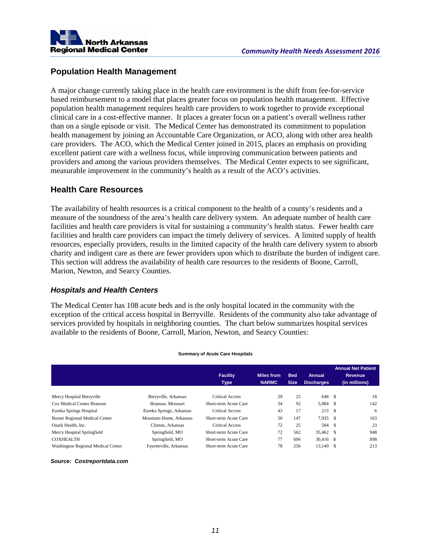

#### **Population Health Management**

A major change currently taking place in the health care environment is the shift from fee-for-service based reimbursement to a model that places greater focus on population health management. Effective population health management requires health care providers to work together to provide exceptional clinical care in a cost-effective manner. It places a greater focus on a patient's overall wellness rather than on a single episode or visit. The Medical Center has demonstrated its commitment to population health management by joining an Accountable Care Organization, or ACO, along with other area health care providers. The ACO, which the Medical Center joined in 2015, places an emphasis on providing excellent patient care with a wellness focus, while improving communication between patients and providers and among the various providers themselves. The Medical Center expects to see significant, measurable improvement in the community's health as a result of the ACO's activities.

#### **Health Care Resources**

The availability of health resources is a critical component to the health of a county's residents and a measure of the soundness of the area's health care delivery system. An adequate number of health care facilities and health care providers is vital for sustaining a community's health status. Fewer health care facilities and health care providers can impact the timely delivery of services. A limited supply of health resources, especially providers, results in the limited capacity of the health care delivery system to absorb charity and indigent care as there are fewer providers upon which to distribute the burden of indigent care. This section will address the availability of health care resources to the residents of Boone, Carroll, Marion, Newton, and Searcy Counties.

#### *Hospitals and Health Centers*

The Medical Center has 108 acute beds and is the only hospital located in the community with the exception of the critical access hospital in Berryville. Residents of the community also take advantage of services provided by hospitals in neighboring counties. The chart below summarizes hospital services available to the residents of Boone, Carroll, Marion, Newton, and Searcy Counties:

|                                       |                          | <b>Facility</b><br><b>Type</b> | Miles from<br><b>NARMC</b> | <b>Bed</b><br><b>Size</b> | Annual<br><b>Discharges</b> |               | <b>Annual Net Patient</b><br>Revenue<br>(in millions) |
|---------------------------------------|--------------------------|--------------------------------|----------------------------|---------------------------|-----------------------------|---------------|-------------------------------------------------------|
| Mercy Hospital Berryville             | Berryville, Arkansas     | Critical Access                | 29                         | 25                        | 648 \$                      |               | 18                                                    |
| Cox Medical Center Branson            | Branson, Missouri        | Short-term Acute Care          | 34                         | 92                        | 5,084 \$                    |               | 142                                                   |
| Eureka Springs Hospital               | Eureka Springs, Arkansas | <b>Critical Access</b>         | 43                         | 17                        | 213                         | <sup>\$</sup> | 6                                                     |
| <b>Baxter Regional Medical Center</b> | Mountain Home, Arkansas  | Short-term Acute Care          | 50                         | 147                       | 7.935 \$                    |               | 163                                                   |
| Ozark Health, Inc.                    | Clinton, Arkansas        | <b>Critical Access</b>         | 72                         | 25                        | 584                         | -S            | 23                                                    |
| Mercy Hospital Springfield            | Springfield, MO          | Short-term Acute Care          | 72                         | 562                       | 35,462 \$                   |               | 948                                                   |
| <b>COXHEALTH</b>                      | Springfield, MO          | Short-term Acute Care          | 77                         | 606                       | 30,416 \$                   |               | 898                                                   |
| Washington Regional Medical Center    | Fayetteville, Arkansas   | Short-term Acute Care          | 78                         | 256                       | 13,140 \$                   |               | 213                                                   |

#### **Summary of Acute Care Hospitals**

#### *Source: Costreportdata.com*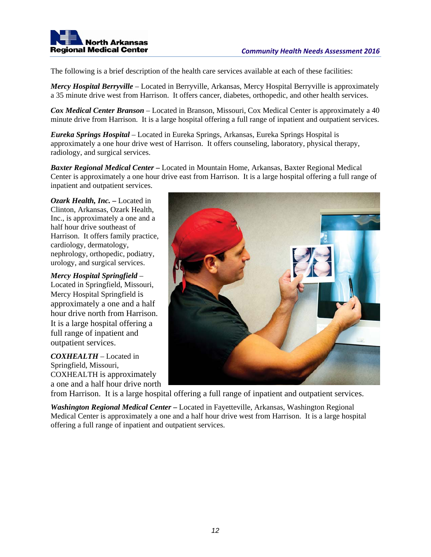

The following is a brief description of the health care services available at each of these facilities:

*Mercy Hospital Berryville* – Located in Berryville, Arkansas, Mercy Hospital Berryville is approximately a 35 minute drive west from Harrison. It offers cancer, diabetes, orthopedic, and other health services.

*Cox Medical Center Branson* – Located in Branson, Missouri, Cox Medical Center is approximately a 40 minute drive from Harrison. It is a large hospital offering a full range of inpatient and outpatient services.

*Eureka Springs Hospital* – Located in Eureka Springs, Arkansas, Eureka Springs Hospital is approximately a one hour drive west of Harrison. It offers counseling, laboratory, physical therapy, radiology, and surgical services.

*Baxter Regional Medical Center* **–** Located in Mountain Home, Arkansas, Baxter Regional Medical Center is approximately a one hour drive east from Harrison. It is a large hospital offering a full range of inpatient and outpatient services.

*Ozark Health, Inc. –* Located in Clinton, Arkansas, Ozark Health, Inc., is approximately a one and a half hour drive southeast of Harrison. It offers family practice, cardiology, dermatology, nephrology, orthopedic, podiatry, urology, and surgical services.

#### *Mercy Hospital Springfield* –

Located in Springfield, Missouri, Mercy Hospital Springfield is approximately a one and a half hour drive north from Harrison. It is a large hospital offering a full range of inpatient and outpatient services.

*COXHEALTH* – Located in Springfield, Missouri, COXHEALTH is approximately a one and a half hour drive north



from Harrison. It is a large hospital offering a full range of inpatient and outpatient services.

*Washington Regional Medical Center* **–** Located in Fayetteville, Arkansas, Washington Regional Medical Center is approximately a one and a half hour drive west from Harrison. It is a large hospital offering a full range of inpatient and outpatient services.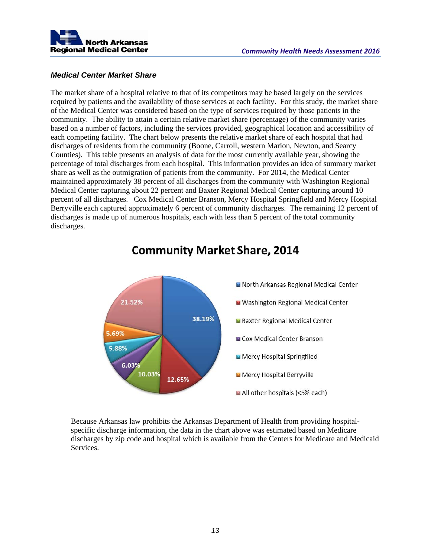

#### *Medical Center Market Share*

The market share of a hospital relative to that of its competitors may be based largely on the services required by patients and the availability of those services at each facility. For this study, the market share of the Medical Center was considered based on the type of services required by those patients in the community. The ability to attain a certain relative market share (percentage) of the community varies based on a number of factors, including the services provided, geographical location and accessibility of each competing facility. The chart below presents the relative market share of each hospital that had discharges of residents from the community (Boone, Carroll, western Marion, Newton, and Searcy Counties). This table presents an analysis of data for the most currently available year, showing the percentage of total discharges from each hospital. This information provides an idea of summary market share as well as the outmigration of patients from the community. For 2014, the Medical Center maintained approximately 38 percent of all discharges from the community with Washington Regional Medical Center capturing about 22 percent and Baxter Regional Medical Center capturing around 10 percent of all discharges. Cox Medical Center Branson, Mercy Hospital Springfield and Mercy Hospital Berryville each captured approximately 6 percent of community discharges. The remaining 12 percent of discharges is made up of numerous hospitals, each with less than 5 percent of the total community discharges.



# **Community Market Share, 2014**

Because Arkansas law prohibits the Arkansas Department of Health from providing hospitalspecific discharge information, the data in the chart above was estimated based on Medicare discharges by zip code and hospital which is available from the Centers for Medicare and Medicaid Services.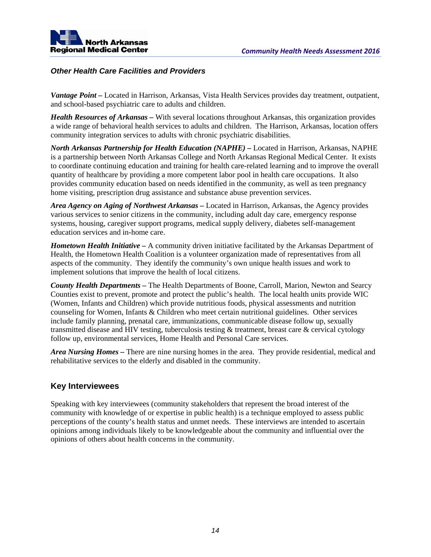

#### *Other Health Care Facilities and Providers*

*Vantage Point –* Located in Harrison, Arkansas, Vista Health Services provides day treatment, outpatient, and school-based psychiatric care to adults and children.

*Health Resources of Arkansas –* With several locations throughout Arkansas, this organization provides a wide range of behavioral health services to adults and children. The Harrison, Arkansas, location offers community integration services to adults with chronic psychiatric disabilities.

*North Arkansas Partnership for Health Education (NAPHE)* – Located in Harrison, Arkansas, NAPHE is a partnership between North Arkansas College and North Arkansas Regional Medical Center. It exists to coordinate continuing education and training for health care-related learning and to improve the overall quantity of healthcare by providing a more competent labor pool in health care occupations. It also provides community education based on needs identified in the community, as well as teen pregnancy home visiting, prescription drug assistance and substance abuse prevention services.

*Area Agency on Aging of Northwest Arkansas –* Located in Harrison, Arkansas, the Agency provides various services to senior citizens in the community, including adult day care, emergency response systems, housing, caregiver support programs, medical supply delivery, diabetes self-management education services and in-home care.

*Hometown Health Initiative –* A community driven initiative facilitated by the Arkansas Department of Health, the Hometown Health Coalition is a volunteer organization made of representatives from all aspects of the community. They identify the community's own unique health issues and work to implement solutions that improve the health of local citizens.

*County Health Departments –* The Health Departments of Boone, Carroll, Marion, Newton and Searcy Counties exist to prevent, promote and protect the public's health. The local health units provide WIC (Women, Infants and Children) which provide nutritious foods, physical assessments and nutrition counseling for Women, Infants & Children who meet certain nutritional guidelines. Other services include family planning, prenatal care, immunizations, communicable disease follow up, sexually transmitted disease and HIV testing, tuberculosis testing & treatment, breast care & cervical cytology follow up, environmental services, Home Health and Personal Care services.

*Area Nursing Homes –* There are nine nursing homes in the area. They provide residential, medical and rehabilitative services to the elderly and disabled in the community.

#### **Key Interviewees**

Speaking with key interviewees (community stakeholders that represent the broad interest of the community with knowledge of or expertise in public health) is a technique employed to assess public perceptions of the county's health status and unmet needs. These interviews are intended to ascertain opinions among individuals likely to be knowledgeable about the community and influential over the opinions of others about health concerns in the community.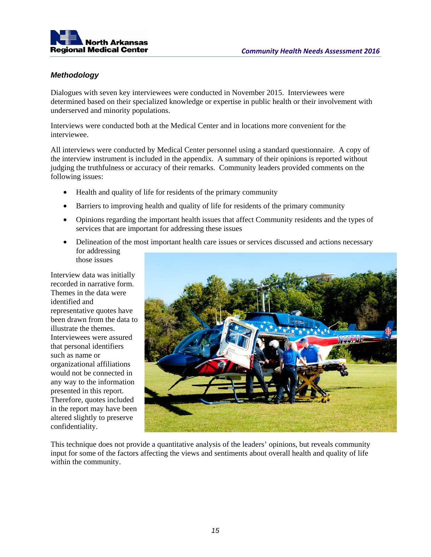

#### *Methodology*

Dialogues with seven key interviewees were conducted in November 2015. Interviewees were determined based on their specialized knowledge or expertise in public health or their involvement with underserved and minority populations.

Interviews were conducted both at the Medical Center and in locations more convenient for the interviewee.

All interviews were conducted by Medical Center personnel using a standard questionnaire. A copy of the interview instrument is included in the appendix. A summary of their opinions is reported without judging the truthfulness or accuracy of their remarks. Community leaders provided comments on the following issues:

- Health and quality of life for residents of the primary community
- Barriers to improving health and quality of life for residents of the primary community
- Opinions regarding the important health issues that affect Community residents and the types of services that are important for addressing these issues
- Delineation of the most important health care issues or services discussed and actions necessary for addressing those issues

Interview data was initially recorded in narrative form. Themes in the data were identified and representative quotes have been drawn from the data to illustrate the themes. Interviewees were assured that personal identifiers such as name or organizational affiliations would not be connected in any way to the information presented in this report. Therefore, quotes included in the report may have been altered slightly to preserve confidentiality.



This technique does not provide a quantitative analysis of the leaders' opinions, but reveals community input for some of the factors affecting the views and sentiments about overall health and quality of life within the community.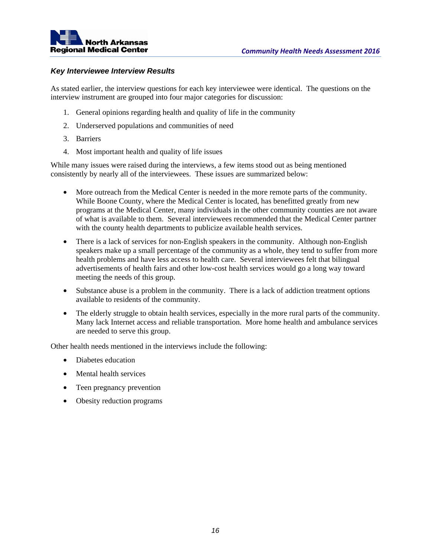

#### *Key Interviewee Interview Results*

As stated earlier, the interview questions for each key interviewee were identical. The questions on the interview instrument are grouped into four major categories for discussion:

- 1. General opinions regarding health and quality of life in the community
- 2. Underserved populations and communities of need
- 3. Barriers
- 4. Most important health and quality of life issues

While many issues were raised during the interviews, a few items stood out as being mentioned consistently by nearly all of the interviewees. These issues are summarized below:

- More outreach from the Medical Center is needed in the more remote parts of the community. While Boone County, where the Medical Center is located, has benefitted greatly from new programs at the Medical Center, many individuals in the other community counties are not aware of what is available to them. Several interviewees recommended that the Medical Center partner with the county health departments to publicize available health services.
- There is a lack of services for non-English speakers in the community. Although non-English speakers make up a small percentage of the community as a whole, they tend to suffer from more health problems and have less access to health care. Several interviewees felt that bilingual advertisements of health fairs and other low-cost health services would go a long way toward meeting the needs of this group.
- Substance abuse is a problem in the community. There is a lack of addiction treatment options available to residents of the community.
- The elderly struggle to obtain health services, especially in the more rural parts of the community. Many lack Internet access and reliable transportation. More home health and ambulance services are needed to serve this group.

Other health needs mentioned in the interviews include the following:

- Diabetes education
- Mental health services
- Teen pregnancy prevention
- Obesity reduction programs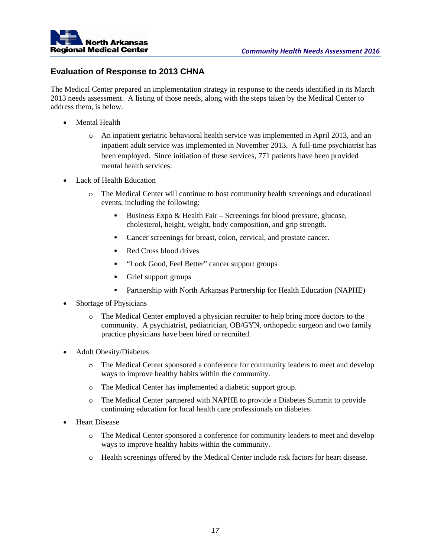

#### **Evaluation of Response to 2013 CHNA**

The Medical Center prepared an implementation strategy in response to the needs identified in its March 2013 needs assessment. A listing of those needs, along with the steps taken by the Medical Center to address them, is below.

- Mental Health
	- o An inpatient geriatric behavioral health service was implemented in April 2013, and an inpatient adult service was implemented in November 2013. A full-time psychiatrist has been employed. Since initiation of these services, 771 patients have been provided mental health services.
- Lack of Health Education
	- o The Medical Center will continue to host community health screenings and educational events, including the following:
		- Business Expo & Health Fair Screenings for blood pressure, glucose, cholesterol, height, weight, body composition, and grip strength.
		- Cancer screenings for breast, colon, cervical, and prostate cancer.
		- Red Cross blood drives
		- "Look Good, Feel Better" cancer support groups
		- Grief support groups
		- Partnership with North Arkansas Partnership for Health Education (NAPHE)
- Shortage of Physicians
	- o The Medical Center employed a physician recruiter to help bring more doctors to the community. A psychiatrist, pediatrician, OB/GYN, orthopedic surgeon and two family practice physicians have been hired or recruited.
- Adult Obesity/Diabetes
	- o The Medical Center sponsored a conference for community leaders to meet and develop ways to improve healthy habits within the community.
	- o The Medical Center has implemented a diabetic support group.
	- o The Medical Center partnered with NAPHE to provide a Diabetes Summit to provide continuing education for local health care professionals on diabetes.
- Heart Disease
	- o The Medical Center sponsored a conference for community leaders to meet and develop ways to improve healthy habits within the community.
	- o Health screenings offered by the Medical Center include risk factors for heart disease.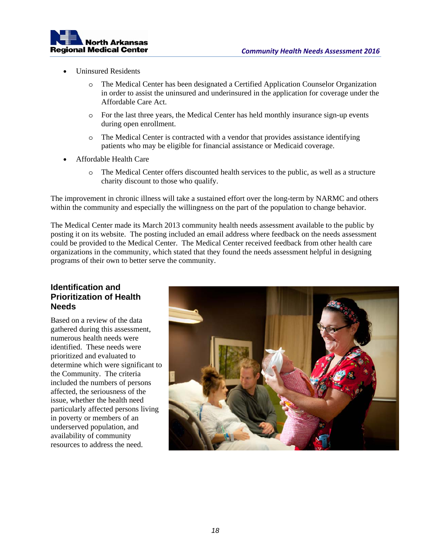

- Uninsured Residents
	- o The Medical Center has been designated a Certified Application Counselor Organization in order to assist the uninsured and underinsured in the application for coverage under the Affordable Care Act.
	- o For the last three years, the Medical Center has held monthly insurance sign-up events during open enrollment.
	- o The Medical Center is contracted with a vendor that provides assistance identifying patients who may be eligible for financial assistance or Medicaid coverage.
- Affordable Health Care
	- o The Medical Center offers discounted health services to the public, as well as a structure charity discount to those who qualify.

The improvement in chronic illness will take a sustained effort over the long-term by NARMC and others within the community and especially the willingness on the part of the population to change behavior.

The Medical Center made its March 2013 community health needs assessment available to the public by posting it on its website. The posting included an email address where feedback on the needs assessment could be provided to the Medical Center. The Medical Center received feedback from other health care organizations in the community, which stated that they found the needs assessment helpful in designing programs of their own to better serve the community.

#### **Identification and Prioritization of Health Needs**

Based on a review of the data gathered during this assessment, numerous health needs were identified. These needs were prioritized and evaluated to determine which were significant to the Community. The criteria included the numbers of persons affected, the seriousness of the issue, whether the health need particularly affected persons living in poverty or members of an underserved population, and availability of community resources to address the need.

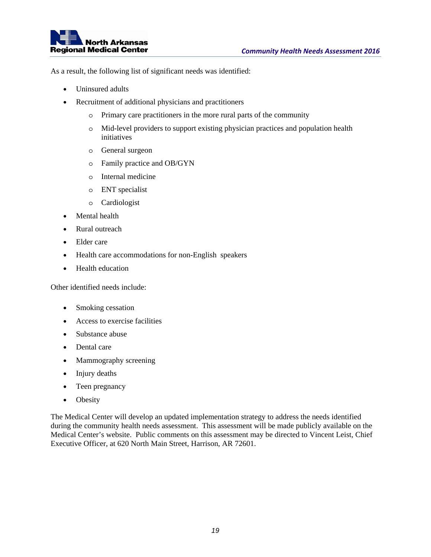

As a result, the following list of significant needs was identified:

- Uninsured adults
- Recruitment of additional physicians and practitioners
	- o Primary care practitioners in the more rural parts of the community
	- o Mid-level providers to support existing physician practices and population health initiatives
	- o General surgeon
	- o Family practice and OB/GYN
	- o Internal medicine
	- o ENT specialist
	- o Cardiologist
- Mental health
- Rural outreach
- Elder care
- Health care accommodations for non-English speakers
- Health education

Other identified needs include:

- Smoking cessation
- Access to exercise facilities
- Substance abuse
- Dental care
- Mammography screening
- Injury deaths
- Teen pregnancy
- Obesity

The Medical Center will develop an updated implementation strategy to address the needs identified during the community health needs assessment. This assessment will be made publicly available on the Medical Center's website. Public comments on this assessment may be directed to Vincent Leist, Chief Executive Officer, at 620 North Main Street, Harrison, AR 72601.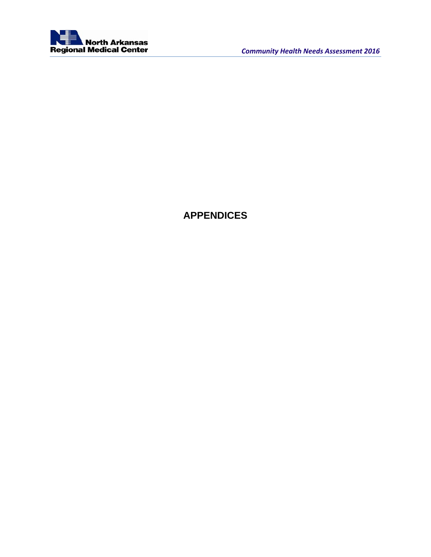

# **APPENDICES**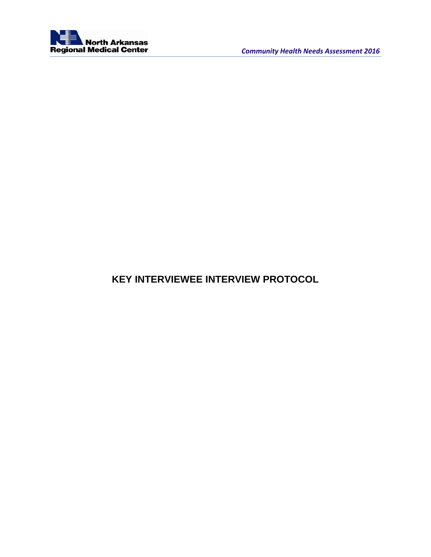

# **KEY INTERVIEWEE INTERVIEW PROTOCOL**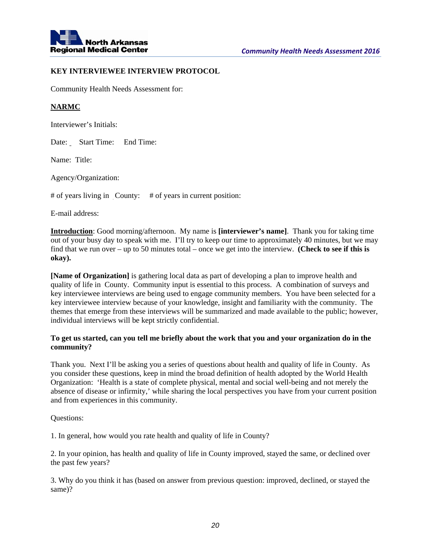

#### **KEY INTERVIEWEE INTERVIEW PROTOCOL**

Community Health Needs Assessment for:

#### **NARMC**

Interviewer's Initials:

Date: Start Time: End Time:

Name: Title:

Agency/Organization:

# of years living in County: # of years in current position:

E-mail address:

**Introduction**: Good morning/afternoon. My name is **[interviewer's name]**. Thank you for taking time out of your busy day to speak with me. I'll try to keep our time to approximately 40 minutes, but we may find that we run over – up to 50 minutes total – once we get into the interview. **(Check to see if this is okay).**

**[Name of Organization]** is gathering local data as part of developing a plan to improve health and quality of life in County. Community input is essential to this process. A combination of surveys and key interviewee interviews are being used to engage community members. You have been selected for a key interviewee interview because of your knowledge, insight and familiarity with the community. The themes that emerge from these interviews will be summarized and made available to the public; however, individual interviews will be kept strictly confidential.

#### **To get us started, can you tell me briefly about the work that you and your organization do in the community?**

Thank you. Next I'll be asking you a series of questions about health and quality of life in County. As you consider these questions, keep in mind the broad definition of health adopted by the World Health Organization: 'Health is a state of complete physical, mental and social well-being and not merely the absence of disease or infirmity,' while sharing the local perspectives you have from your current position and from experiences in this community.

Questions:

1. In general, how would you rate health and quality of life in County?

2. In your opinion, has health and quality of life in County improved, stayed the same, or declined over the past few years?

3. Why do you think it has (based on answer from previous question: improved, declined, or stayed the same)?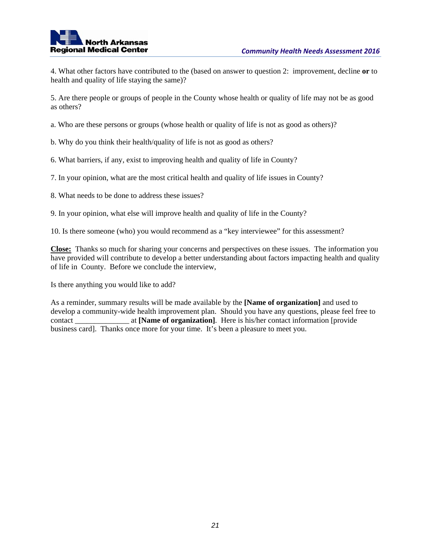4. What other factors have contributed to the (based on answer to question 2: improvement, decline **or** to health and quality of life staying the same)?

5. Are there people or groups of people in the County whose health or quality of life may not be as good as others?

a. Who are these persons or groups (whose health or quality of life is not as good as others)?

b. Why do you think their health/quality of life is not as good as others?

6. What barriers, if any, exist to improving health and quality of life in County?

7. In your opinion, what are the most critical health and quality of life issues in County?

8. What needs to be done to address these issues?

9. In your opinion, what else will improve health and quality of life in the County?

10. Is there someone (who) you would recommend as a "key interviewee" for this assessment?

**Close:** Thanks so much for sharing your concerns and perspectives on these issues. The information you have provided will contribute to develop a better understanding about factors impacting health and quality of life in County. Before we conclude the interview,

Is there anything you would like to add?

As a reminder, summary results will be made available by the **[Name of organization]** and used to develop a community-wide health improvement plan. Should you have any questions, please feel free to contact **at [Name of organization]**. Here is his/her contact information [provide] business card]. Thanks once more for your time. It's been a pleasure to meet you.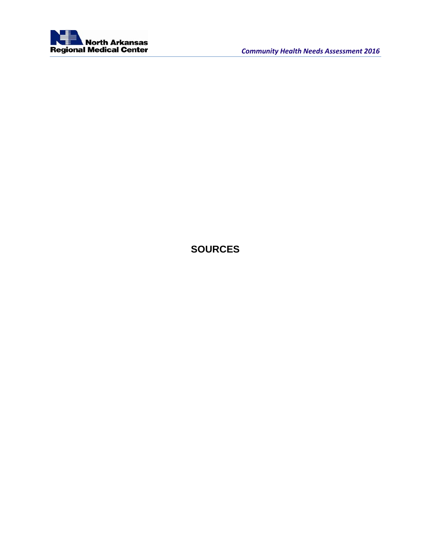

# **SOURCES**